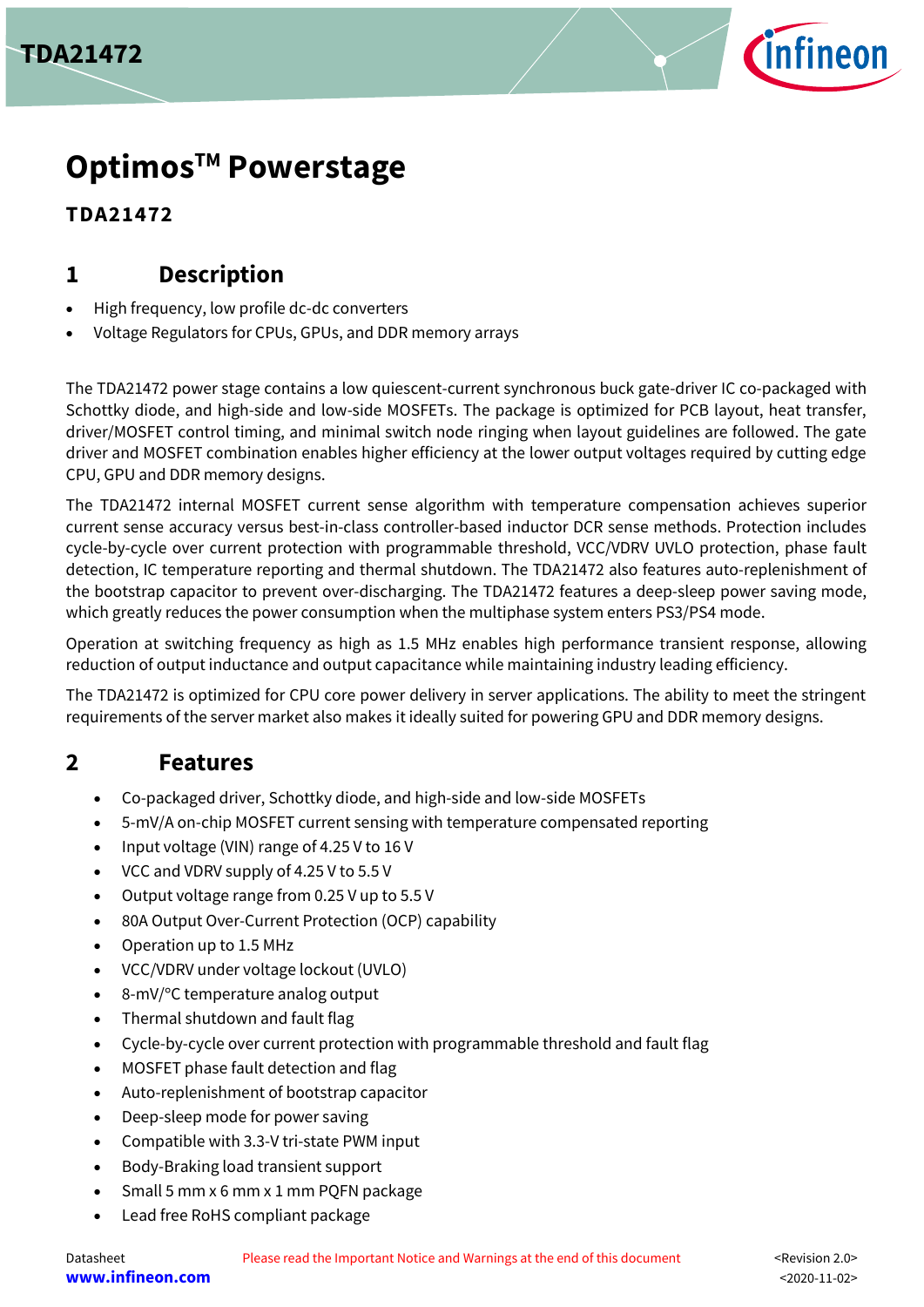



**TDA21472**

## **1 Description**

- High frequency, low profile dc-dc converters
- Voltage Regulators for CPUs, GPUs, and DDR memory arrays

The TDA21472 power stage contains a low quiescent-current synchronous buck gate-driver IC co-packaged with Schottky diode, and high-side and low-side MOSFETs. The package is optimized for PCB layout, heat transfer, driver/MOSFET control timing, and minimal switch node ringing when layout guidelines are followed. The gate driver and MOSFET combination enables higher efficiency at the lower output voltages required by cutting edge CPU, GPU and DDR memory designs.

The TDA21472 internal MOSFET current sense algorithm with temperature compensation achieves superior current sense accuracy versus best-in-class controller-based inductor DCR sense methods. Protection includes cycle-by-cycle over current protection with programmable threshold, VCC/VDRV UVLO protection, phase fault detection, IC temperature reporting and thermal shutdown. The TDA21472 also features auto-replenishment of the bootstrap capacitor to prevent over-discharging. The TDA21472 features a deep-sleep power saving mode, which greatly reduces the power consumption when the multiphase system enters PS3/PS4 mode.

Operation at switching frequency as high as 1.5 MHz enables high performance transient response, allowing reduction of output inductance and output capacitance while maintaining industry leading efficiency.

The TDA21472 is optimized for CPU core power delivery in server applications. The ability to meet the stringent requirements of the server market also makes it ideally suited for powering GPU and DDR memory designs.

## **2 Features**

- Co-packaged driver, Schottky diode, and high-side and low-side MOSFETs
- 5-mV/A on-chip MOSFET current sensing with temperature compensated reporting
- Input voltage (VIN) range of 4.25 V to 16 V
- VCC and VDRV supply of 4.25 V to 5.5 V
- Output voltage range from 0.25 V up to 5.5 V
- 80A Output Over-Current Protection (OCP) capability
- Operation up to 1.5 MHz
- VCC/VDRV under voltage lockout (UVLO)
- 8-mV/°C temperature analog output
- Thermal shutdown and fault flag
- Cycle-by-cycle over current protection with programmable threshold and fault flag
- MOSFET phase fault detection and flag
- Auto-replenishment of bootstrap capacitor
- Deep-sleep mode for power saving
- Compatible with 3.3-V tri-state PWM input
- Body-Braking load transient support
- Small 5 mm x 6 mm x 1 mm PQFN package
- Lead free RoHS compliant package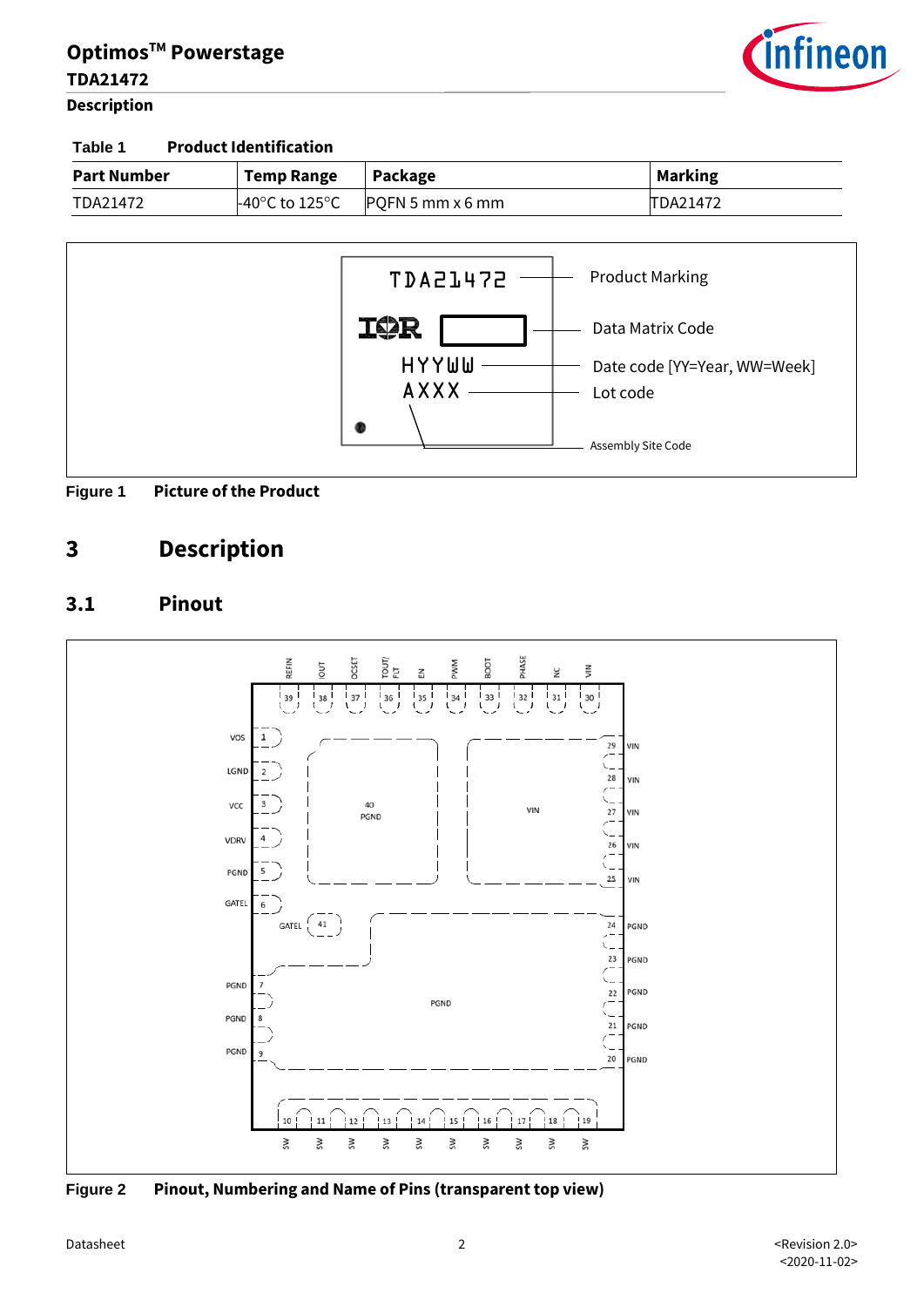

#### **Description**

#### **Table 1 Product Identification**

| <b>Part Number</b> | <b>Temp Range</b>                   | Package          | <b>Marking</b> |
|--------------------|-------------------------------------|------------------|----------------|
| TDA21472           | $-40^{\circ}$ C to 125 $^{\circ}$ C | PQFN 5 mm x 6 mm | TDA21472       |





## **3 Description**

#### **3.1 Pinout**



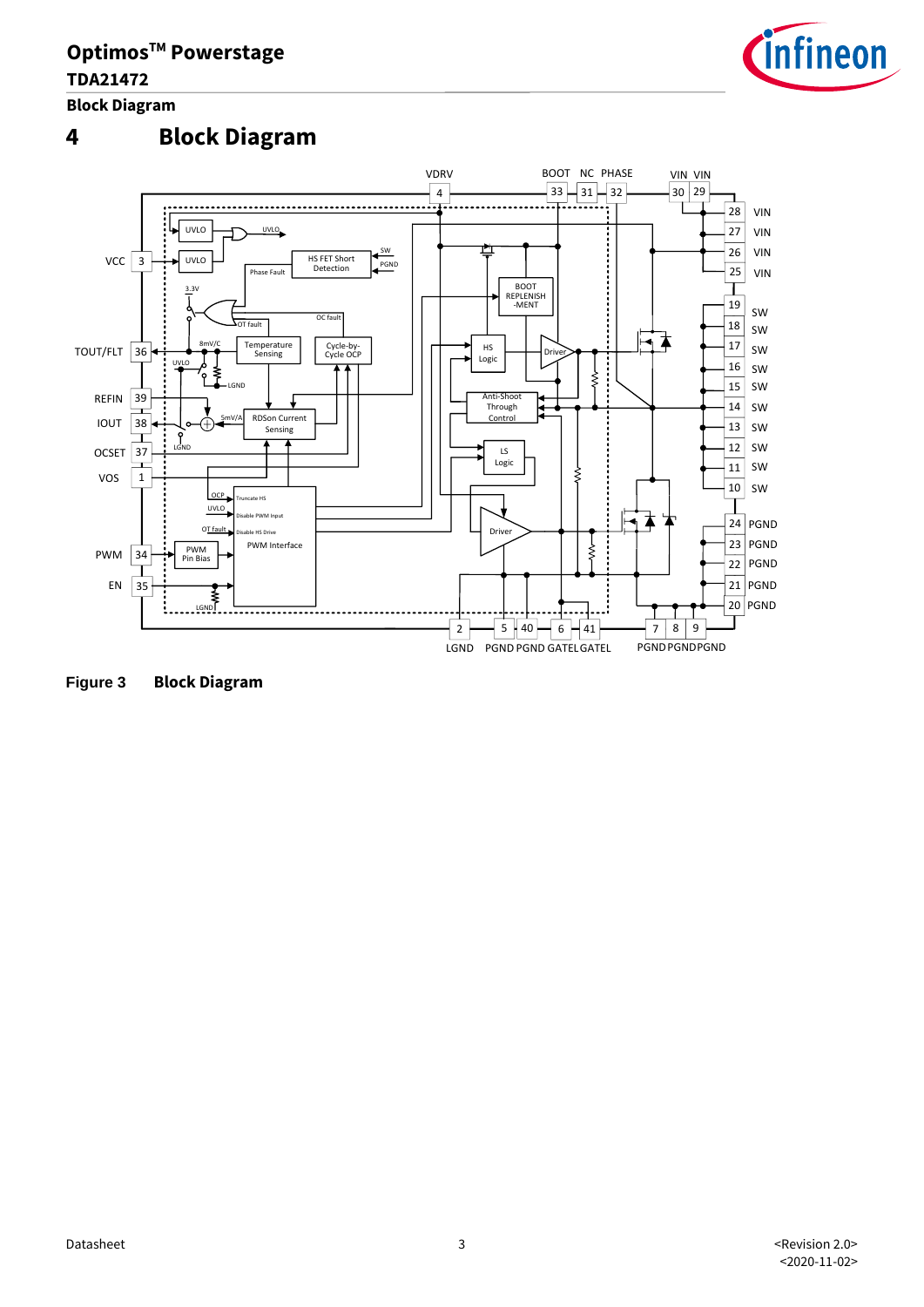

**Block Diagram**

## **4 Block Diagram**



**Figure 3 Block Diagram**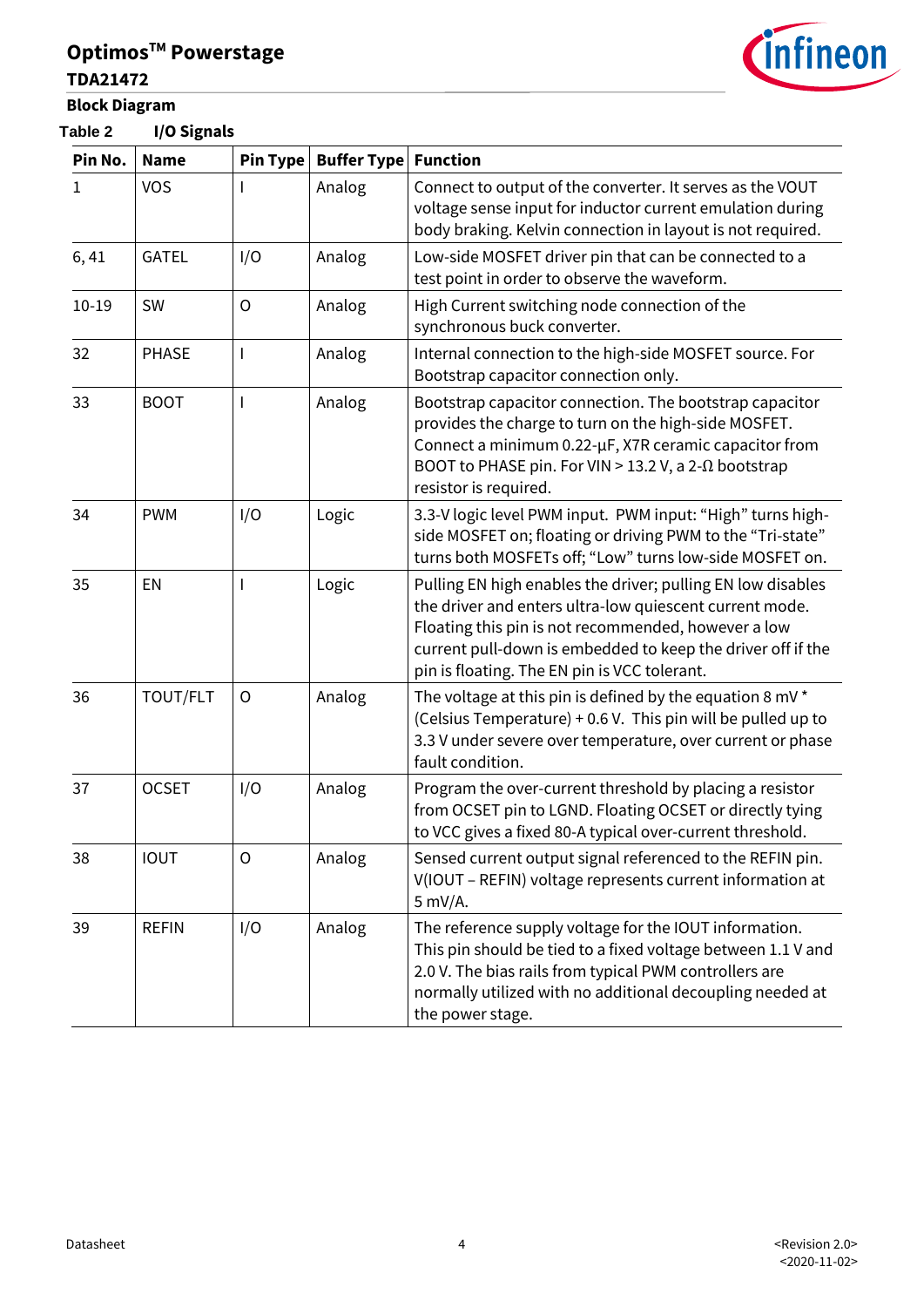

### **Table 2 I/O Signals**



| Pin No.   | <b>Name</b>  | Pin Type | <b>Buffer Type</b> | <b>Function</b>                                                                                                                                                                                                                                                                              |
|-----------|--------------|----------|--------------------|----------------------------------------------------------------------------------------------------------------------------------------------------------------------------------------------------------------------------------------------------------------------------------------------|
| 1         | <b>VOS</b>   |          | Analog             | Connect to output of the converter. It serves as the VOUT<br>voltage sense input for inductor current emulation during<br>body braking. Kelvin connection in layout is not required.                                                                                                         |
| 6,41      | <b>GATEL</b> | I/O      | Analog             | Low-side MOSFET driver pin that can be connected to a<br>test point in order to observe the waveform.                                                                                                                                                                                        |
| $10 - 19$ | SW           | $\circ$  | Analog             | High Current switching node connection of the<br>synchronous buck converter.                                                                                                                                                                                                                 |
| 32        | <b>PHASE</b> |          | Analog             | Internal connection to the high-side MOSFET source. For<br>Bootstrap capacitor connection only.                                                                                                                                                                                              |
| 33        | <b>BOOT</b>  |          | Analog             | Bootstrap capacitor connection. The bootstrap capacitor<br>provides the charge to turn on the high-side MOSFET.<br>Connect a minimum 0.22-µF, X7R ceramic capacitor from<br>BOOT to PHASE pin. For VIN > 13.2 V, a 2- $\Omega$ bootstrap<br>resistor is required.                            |
| 34        | <b>PWM</b>   | I/O      | Logic              | 3.3-V logic level PWM input. PWM input: "High" turns high-<br>side MOSFET on; floating or driving PWM to the "Tri-state"<br>turns both MOSFETs off; "Low" turns low-side MOSFET on.                                                                                                          |
| 35        | EN           |          | Logic              | Pulling EN high enables the driver; pulling EN low disables<br>the driver and enters ultra-low quiescent current mode.<br>Floating this pin is not recommended, however a low<br>current pull-down is embedded to keep the driver off if the<br>pin is floating. The EN pin is VCC tolerant. |
| 36        | TOUT/FLT     | O        | Analog             | The voltage at this pin is defined by the equation 8 mV $*$<br>(Celsius Temperature) + 0.6 V. This pin will be pulled up to<br>3.3 V under severe over temperature, over current or phase<br>fault condition.                                                                                |
| 37        | <b>OCSET</b> | I/O      | Analog             | Program the over-current threshold by placing a resistor<br>from OCSET pin to LGND. Floating OCSET or directly tying<br>to VCC gives a fixed 80-A typical over-current threshold.                                                                                                            |
| 38        | <b>IOUT</b>  | $\circ$  | Analog             | Sensed current output signal referenced to the REFIN pin.<br>V(IOUT - REFIN) voltage represents current information at<br>5 mV/A.                                                                                                                                                            |
| 39        | <b>REFIN</b> | I/O      | Analog             | The reference supply voltage for the IOUT information.<br>This pin should be tied to a fixed voltage between 1.1 V and<br>2.0 V. The bias rails from typical PWM controllers are<br>normally utilized with no additional decoupling needed at<br>the power stage.                            |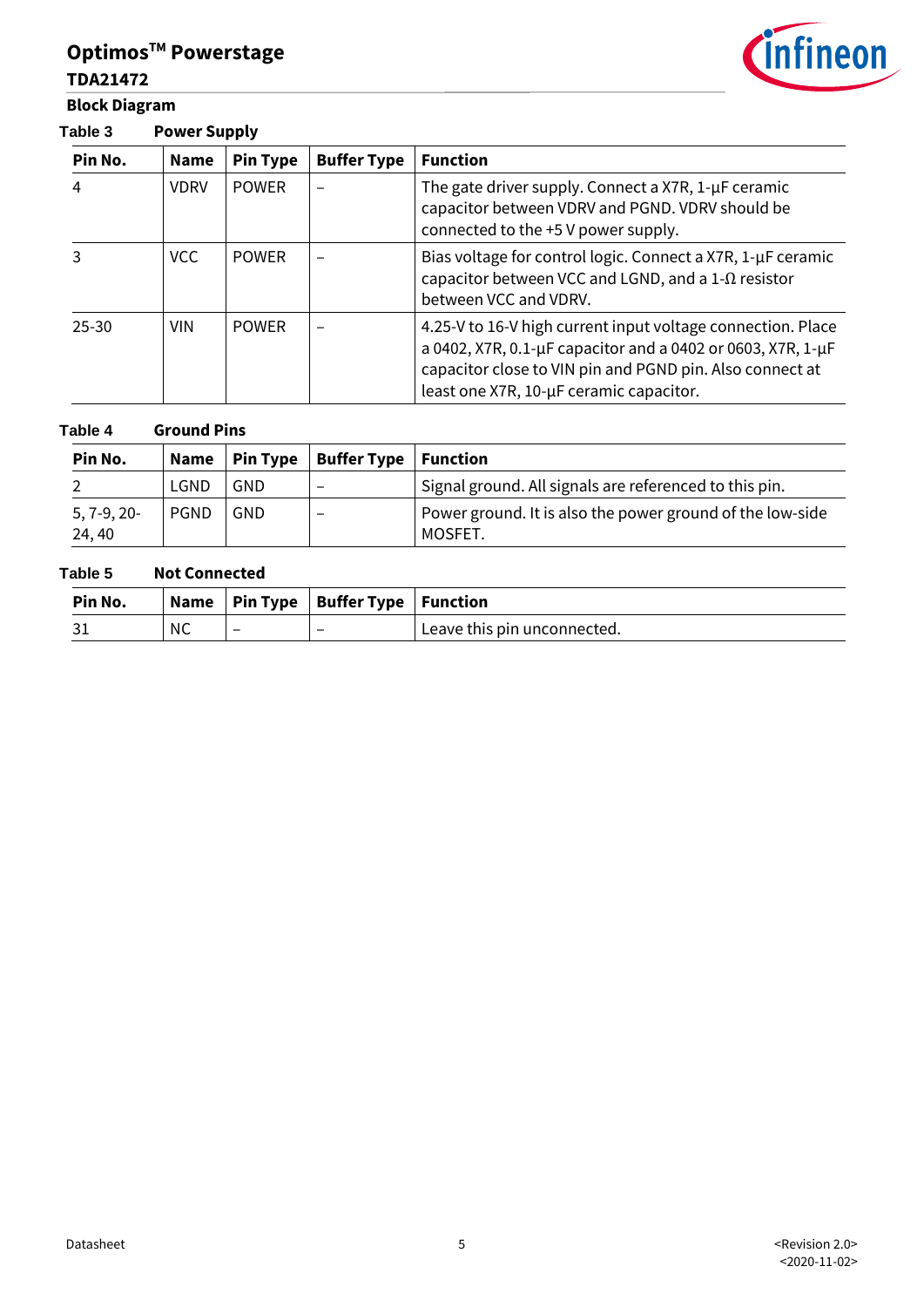# **Block Diagram**

**Table 3 Power Supply**



#### **Table 4 Ground Pins**

| Pin No.                 |             |     | Name   Pin Type   Buffer Type   Function |                                                                      |
|-------------------------|-------------|-----|------------------------------------------|----------------------------------------------------------------------|
|                         | LGND        | GND |                                          | Signal ground. All signals are referenced to this pin.               |
| $5, 7-9, 20-$<br>24, 40 | <b>PGND</b> | GND |                                          | Power ground. It is also the power ground of the low-side<br>MOSFET. |

#### **Table 5 Not Connected**

| Pin No. |    |                          | Name   Pin Type   Buffer Type   Function |                             |
|---------|----|--------------------------|------------------------------------------|-----------------------------|
|         | ΝC | $\overline{\phantom{0}}$ |                                          | Leave this pin unconnected. |



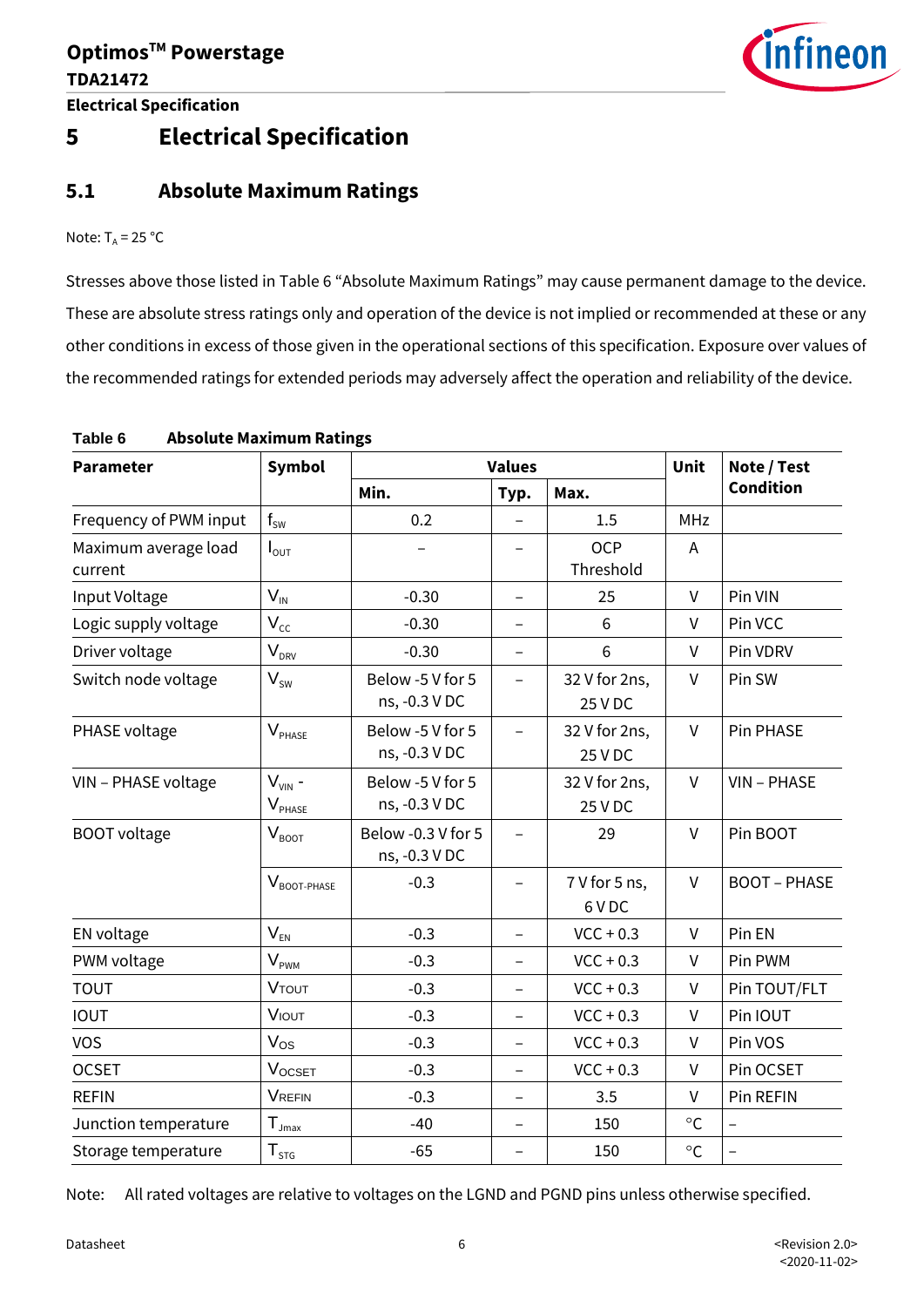

## **5 Electrical Specification**

#### **5.1 Absolute Maximum Ratings**

Note:  $T_A = 25 °C$ 

Stresses above those listed in [Table 6](#page-5-0) "Absolute Maximum Ratings" may cause permanent damage to the device. These are absolute stress ratings only and operation of the device is not implied or recommended at these or any other conditions in excess of those given in the operational sections of this specification. Exposure over values of the recommended ratings for extended periods may adversely affect the operation and reliability of the device.

| <b>Parameter</b>                | <b>Symbol</b>              |                                     | <b>Values</b>            |                          | Unit         | Note / Test              |
|---------------------------------|----------------------------|-------------------------------------|--------------------------|--------------------------|--------------|--------------------------|
|                                 |                            | Min.                                | Typ.                     | Max.                     |              | <b>Condition</b>         |
| Frequency of PWM input          | $f_{SW}$                   | 0.2                                 |                          | 1.5                      | <b>MHz</b>   |                          |
| Maximum average load<br>current | $I_{\text{OUT}}$           |                                     |                          | <b>OCP</b><br>Threshold  | A            |                          |
| Input Voltage                   | $V_{\text{IN}}$            | $-0.30$                             | $\overline{\phantom{0}}$ | 25                       | $\vee$       | Pin VIN                  |
| Logic supply voltage            | $V_{cc}$                   | $-0.30$                             | $\overline{\phantom{0}}$ | 6                        | $\vee$       | Pin VCC                  |
| Driver voltage                  | $V_{DRV}$                  | $-0.30$                             | $\overline{\phantom{0}}$ | 6                        | $\vee$       | Pin VDRV                 |
| Switch node voltage             | $V_{sw}$                   | Below -5 V for 5<br>ns, -0.3 V DC   | $\overline{\phantom{0}}$ | 32 V for 2ns,<br>25 V DC | $\mathsf{V}$ | Pin SW                   |
| PHASE voltage                   | $V_{PHASE}$                | Below -5 V for 5<br>ns, -0.3 V DC   | $\overline{\phantom{0}}$ | 32 V for 2ns,<br>25 V DC | $\vee$       | Pin PHASE                |
| VIN - PHASE voltage             | $V_{VIN}$ -<br>$V_{PHASE}$ | Below -5 V for 5<br>ns, -0.3 V DC   |                          | 32 V for 2ns,<br>25 V DC | $\vee$       | VIN - PHASE              |
| <b>BOOT</b> voltage             | $V_{B O O T}$              | Below -0.3 V for 5<br>ns, -0.3 V DC |                          | 29                       | $\vee$       | Pin BOOT                 |
|                                 | $V_{\text{BOOT-PHASE}}$    | $-0.3$                              | $\overline{\phantom{0}}$ | 7 V for 5 ns,<br>6 V DC  | $\mathsf{V}$ | <b>BOOT - PHASE</b>      |
| EN voltage                      | $V_{EN}$                   | $-0.3$                              | $\overline{\phantom{0}}$ | $VCC + 0.3$              | V            | Pin EN                   |
| PWM voltage                     | $V_{PWM}$                  | $-0.3$                              | $\overline{\phantom{0}}$ | $VCC + 0.3$              | $\vee$       | Pin PWM                  |
| <b>TOUT</b>                     | <b>VTOUT</b>               | $-0.3$                              | $\overline{\phantom{0}}$ | $VCC + 0.3$              | V            | Pin TOUT/FLT             |
| <b>IOUT</b>                     | VIOUT                      | $-0.3$                              | $\overline{a}$           | $VCC + 0.3$              | $\vee$       | Pin IOUT                 |
| <b>VOS</b>                      | $V_{OS}$                   | $-0.3$                              | $\overline{\phantom{0}}$ | $VCC + 0.3$              | $\vee$       | Pin VOS                  |
| <b>OCSET</b>                    | <b>VOCSET</b>              | $-0.3$                              | $\overline{\phantom{0}}$ | $VCC + 0.3$              | $\vee$       | Pin OCSET                |
| <b>REFIN</b>                    | <b>VREFIN</b>              | $-0.3$                              | $\qquad \qquad -$        | 3.5                      | $\vee$       | Pin REFIN                |
| Junction temperature            | $T_{\text{Jmax}}$          | $-40$                               | $\overline{\phantom{0}}$ | 150                      | $\circ$ C    | $\overline{\phantom{0}}$ |
| Storage temperature             | ${\sf T}_{\text{STG}}$     | $-65$                               |                          | 150                      | $\circ$ C    | $\overline{\phantom{0}}$ |

#### <span id="page-5-0"></span>**Table 6 Absolute Maximum Ratings**

Note: All rated voltages are relative to voltages on the LGND and PGND pins unless otherwise specified.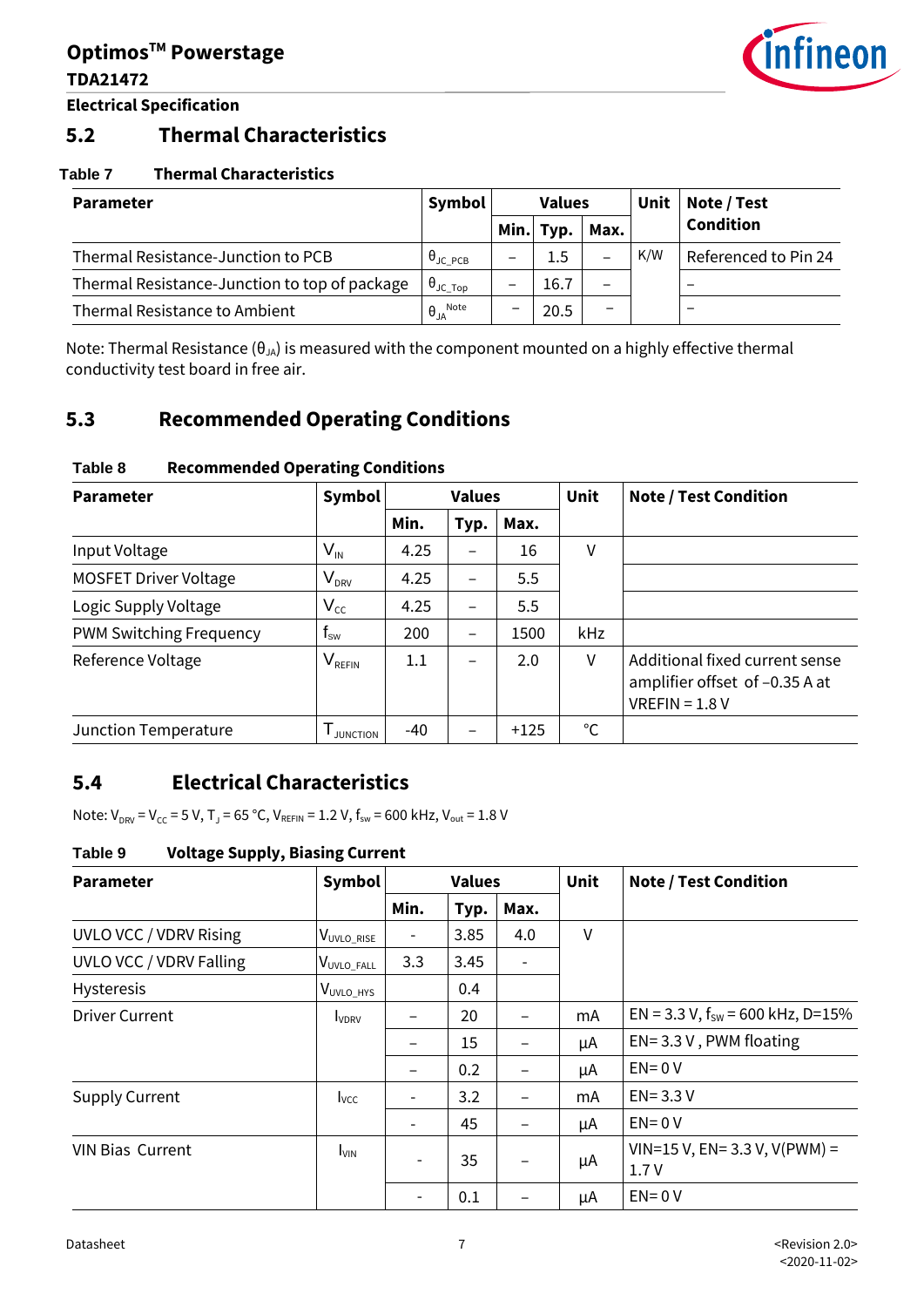

**Electrical Specification**

#### **5.2 Thermal Characteristics**

#### **Table 7 Thermal Characteristics**

| <b>Parameter</b>                              | Symbol                      | <b>Values</b> |           | Unit                     | Note / Test |                      |
|-----------------------------------------------|-----------------------------|---------------|-----------|--------------------------|-------------|----------------------|
|                                               |                             |               | Min. Typ. | Max.                     |             | <b>Condition</b>     |
| Thermal Resistance-Junction to PCB            | $\theta_{\text{JC PCB}}$    |               | 1.5       | —                        | K/W         | Referenced to Pin 24 |
| Thermal Resistance-Junction to top of package | $\theta_{\text{JC\_Top}}$   |               | 16.7      | —                        |             |                      |
| Thermal Resistance to Ambient                 | $\theta_{JA}^{\text{Note}}$ | –             | 20.5      | $\overline{\phantom{m}}$ |             |                      |

Note: Thermal Resistance ( $\theta_{JA}$ ) is measured with the component mounted on a highly effective thermal conductivity test board in free air.

#### **5.3 Recommended Operating Conditions**

| <b>Parameter</b>             | Symbol                                       |         | <b>Values</b> |        | Unit         | <b>Note / Test Condition</b>                                                         |
|------------------------------|----------------------------------------------|---------|---------------|--------|--------------|--------------------------------------------------------------------------------------|
|                              |                                              | Min.    | Typ.          | Max.   |              |                                                                                      |
| Input Voltage                | $\mathsf{V}_{\scriptscriptstyle\mathsf{IN}}$ | 4.25    | —             | 16     | V            |                                                                                      |
| <b>MOSFET Driver Voltage</b> | V <sub>DRV</sub>                             | 4.25    | —             | 5.5    |              |                                                                                      |
| Logic Supply Voltage         | $V_{cc}$                                     | 4.25    | —             | 5.5    |              |                                                                                      |
| PWM Switching Frequency      | $\mathsf{f}_\mathsf{sw}$                     | 200     | —             | 1500   | kHz          |                                                                                      |
| Reference Voltage            | $\mathsf{V}_{\mathsf{REFIN}}$                | $1.1\,$ | —             | 2.0    | V            | Additional fixed current sense<br>amplifier offset of -0.35 A at<br>$VREFIN = 1.8 V$ |
| Junction Temperature         | <b>JUNCTION</b>                              | -40     |               | $+125$ | $^{\circ}$ C |                                                                                      |

#### **Table 8 Recommended Operating Conditions**

### **5.4 Electrical Characteristics**

Note:  $V_{DRV} = V_{CC} = 5 V$ ,  $T_J = 65 °C$ ,  $V_{REFIN} = 1.2 V$ ,  $f_{sw} = 600$  kHz,  $V_{out} = 1.8 V$ 

#### **Table 9 Voltage Supply, Biasing Current**

| <b>Parameter</b>        | Symbol                  |                          | <b>Values</b> |      | Unit | <b>Note / Test Condition</b>                     |
|-------------------------|-------------------------|--------------------------|---------------|------|------|--------------------------------------------------|
|                         |                         | Min.                     | Typ.          | Max. |      |                                                  |
| UVLO VCC / VDRV Rising  | V <sub>UVLO_RISE</sub>  | $\overline{\phantom{a}}$ | 3.85          | 4.0  | V    |                                                  |
| UVLO VCC / VDRV Falling | V <sub>UVLO_FALL</sub>  | 3.3                      | 3.45          |      |      |                                                  |
| Hysteresis              | V <sub>UVLO_HYS</sub>   |                          | 0.4           |      |      |                                                  |
| <b>Driver Current</b>   | <b>IVDRV</b>            |                          | 20            |      | mA   | EN = 3.3 V, $f_{sw}$ = 600 kHz, D=15%            |
|                         |                         | $\overline{\phantom{0}}$ | 15            | -    | μA   | $EN = 3.3 V$ , PWM floating                      |
|                         |                         | $\overline{\phantom{0}}$ | 0.2           | -    | μA   | $EN = 0 V$                                       |
| <b>Supply Current</b>   | <b>I</b> <sub>vcc</sub> | $\overline{\phantom{a}}$ | 3.2           | -    | mA   | $EN = 3.3 V$                                     |
|                         |                         | $\overline{\phantom{a}}$ | 45            |      | μA   | $EN = 0 V$                                       |
| <b>VIN Bias Current</b> | <b>I</b> VIN            |                          | 35            |      | μA   | $VIN = 15 V$ , $EN = 3.3 V$ , $V(PWM) =$<br>1.7V |
|                         |                         |                          | 0.1           |      | μA   | $EN = 0 V$                                       |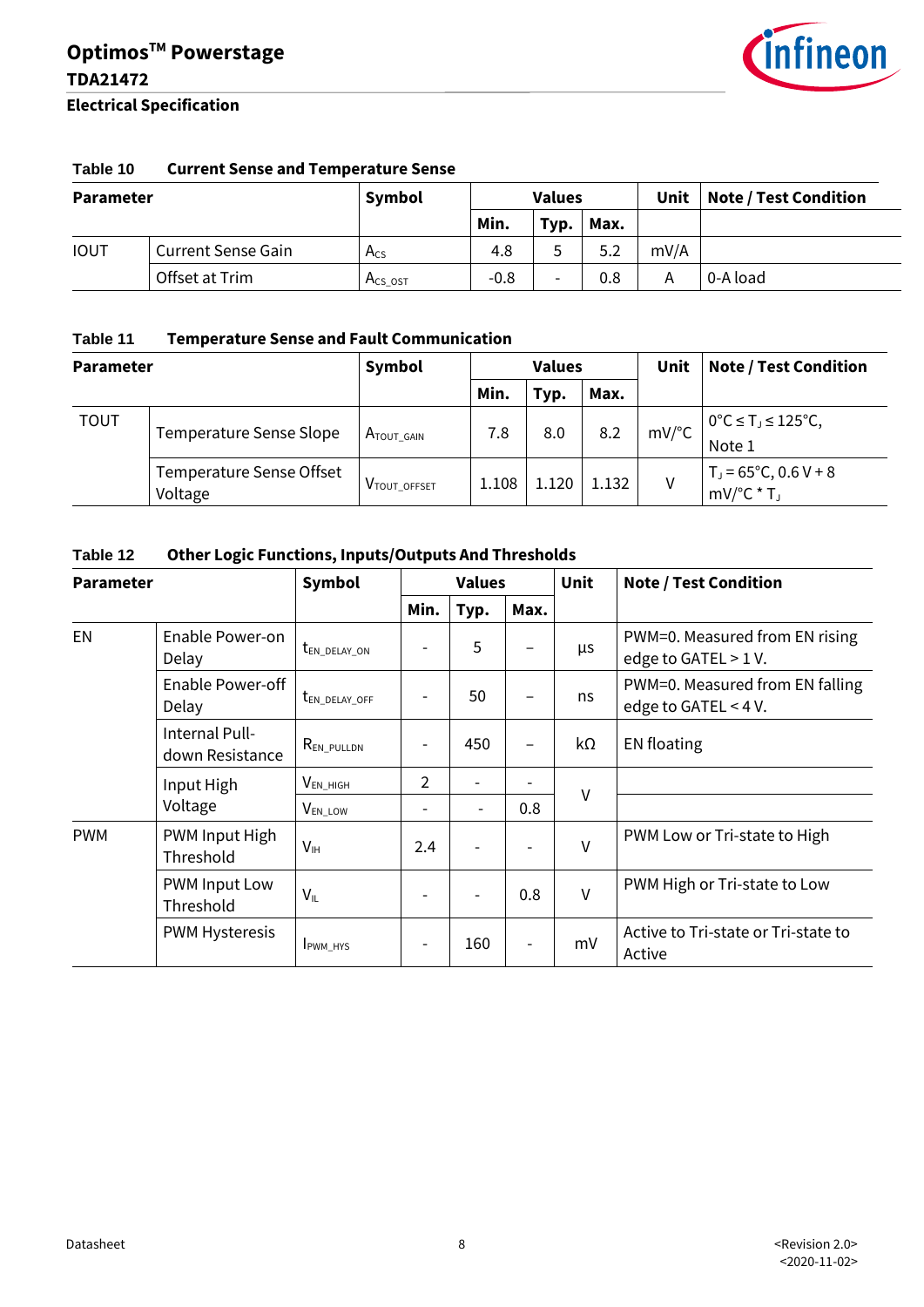

#### **Table 10 Current Sense and Temperature Sense**

| <b>Parameter</b> |                           | Symbol   |        | <b>Values</b>            |      | Unit | <b>Note / Test Condition</b> |
|------------------|---------------------------|----------|--------|--------------------------|------|------|------------------------------|
|                  |                           |          | Min.   | Typ.                     | Max. |      |                              |
| <b>IOUT</b>      | <b>Current Sense Gain</b> | $A_{CS}$ | 4.8    |                          | 5.2  | mV/A |                              |
|                  | Offset at Trim            | Acs ost  | $-0.8$ | $\overline{\phantom{0}}$ | 0.8  | А    | 0-A load                     |

#### **Table 11 Temperature Sense and Fault Communication**

| <b>Parameter</b> |                                     | Symbol                   |       | <b>Values</b> |       | Unit                | <b>Note / Test Condition</b>                                  |
|------------------|-------------------------------------|--------------------------|-------|---------------|-------|---------------------|---------------------------------------------------------------|
|                  |                                     |                          | Min.  | Typ.          | Max.  |                     |                                                               |
| <b>TOUT</b>      | Temperature Sense Slope             | $A_{\text{TOUT\_GAIN}}$  | 7.8   | 8.0           | 8.2   | $mV$ <sup>o</sup> C | $0^{\circ}C \leq T_{J} \leq 125^{\circ}C$ ,<br>Note 1         |
|                  | Temperature Sense Offset<br>Voltage | V <sub>TOUT_OFFSET</sub> | 1.108 | 1.120         | 1.132 | v                   | $T_J = 65^{\circ}C$ , 0.6 V + 8<br>$mV$ <sup>o</sup> $C^*T_J$ |

#### **Table 12 Other Logic Functions, Inputs/Outputs And Thresholds**

| <b>Parameter</b> |                                   | <b>Symbol</b>            |                          | <b>Values</b>            |      | <b>Unit</b> | <b>Note / Test Condition</b>                            |
|------------------|-----------------------------------|--------------------------|--------------------------|--------------------------|------|-------------|---------------------------------------------------------|
|                  |                                   |                          | Min.                     | Typ.                     | Max. |             |                                                         |
| <b>EN</b>        | Enable Power-on<br>Delay          | t <sub>en_delay_on</sub> |                          | 5                        |      | μs          | PWM=0. Measured from EN rising<br>edge to GATEL > 1 V.  |
|                  | Enable Power-off<br>Delay         | $t_{EN\_DELAY\_OFF}$     | $\overline{\phantom{0}}$ | 50                       |      | ns          | PWM=0. Measured from EN falling<br>edge to GATEL < 4 V. |
|                  | Internal Pull-<br>down Resistance | <b>REN_PULLDN</b>        | -                        | 450                      |      | kΩ          | <b>EN</b> floating                                      |
|                  | Input High                        | $V_{EN_HIGH}$            | $\mathfrak{D}$           |                          |      |             |                                                         |
|                  | Voltage                           | V <sub>EN_LOW</sub>      | $\overline{\phantom{0}}$ | $\overline{\phantom{a}}$ | 0.8  | $\vee$      |                                                         |
| <b>PWM</b>       | PWM Input High<br>Threshold       | V <sub>IH</sub>          | 2.4                      |                          |      | $\vee$      | PWM Low or Tri-state to High                            |
|                  | PWM Input Low<br>Threshold        | $V_{IL}$                 | -                        |                          | 0.8  | $\vee$      | PWM High or Tri-state to Low                            |
|                  | <b>PWM Hysteresis</b>             | <b>IPWM HYS</b>          |                          | 160                      |      | mV          | Active to Tri-state or Tri-state to<br>Active           |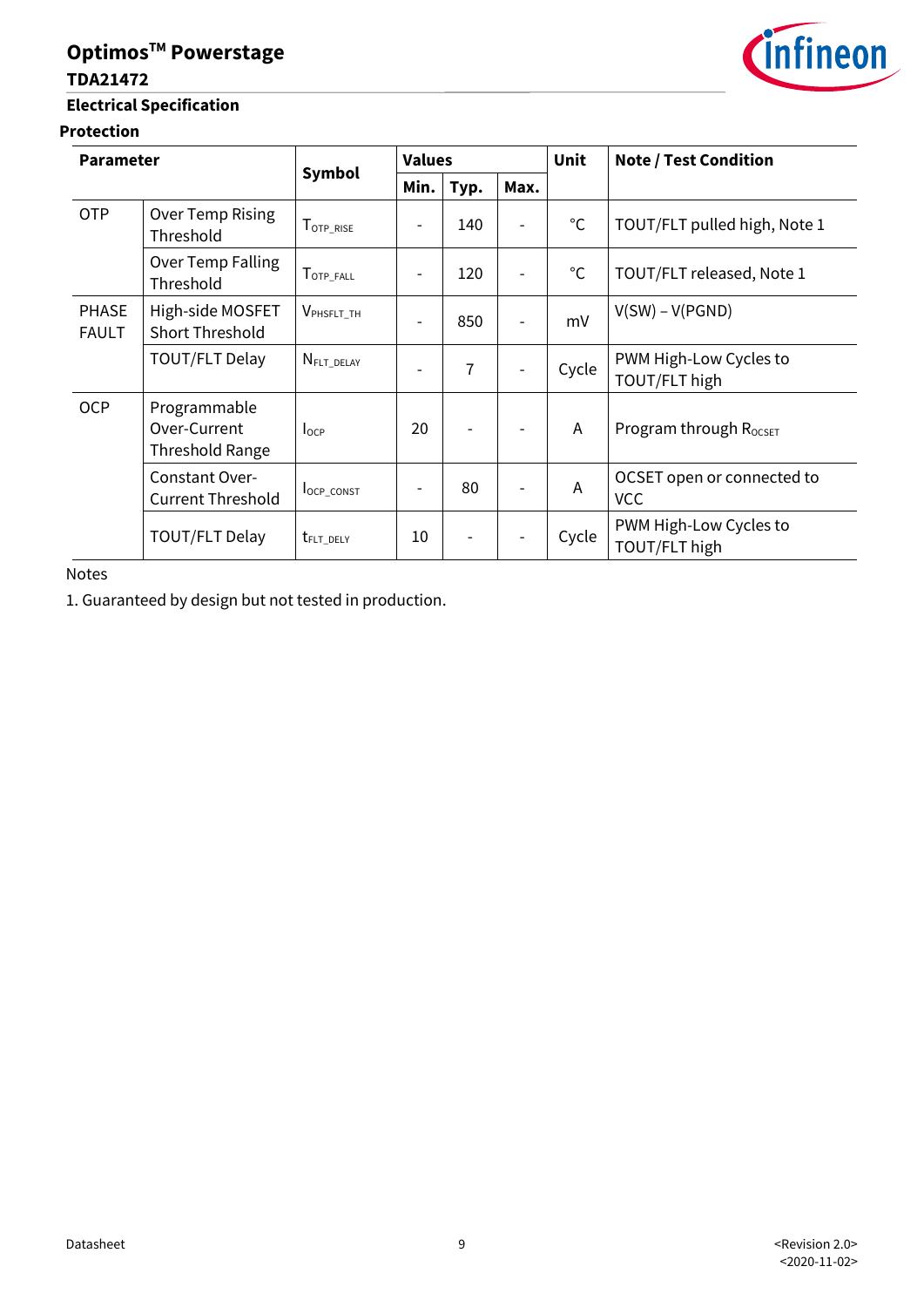#### **TDA21472**

#### **Electrical Specification**

#### **Protection**

| <b>Parameter</b>             |                                                 |                                | <b>Values</b> |      |      | <b>Unit</b>  | <b>Note / Test Condition</b>             |
|------------------------------|-------------------------------------------------|--------------------------------|---------------|------|------|--------------|------------------------------------------|
|                              |                                                 | <b>Symbol</b>                  | Min.          | Typ. | Max. |              |                                          |
| <b>OTP</b>                   | Over Temp Rising<br>Threshold                   | T <sub>OTP_RISE</sub>          |               | 140  |      | $^{\circ}$ C | TOUT/FLT pulled high, Note 1             |
|                              | Over Temp Falling<br>Threshold                  | $T_{\texttt{OTP\_FALL}}$       |               | 120  |      | $^{\circ}$ C | TOUT/FLT released, Note 1                |
| <b>PHASE</b><br><b>FAULT</b> | High-side MOSFET<br><b>Short Threshold</b>      | V <sub>PHSFLT_TH</sub>         |               | 850  |      | mV           | $V(SW) - V(PGND)$                        |
|                              | <b>TOUT/FLT Delay</b>                           | $N_{\text{FLT}\_\text{DELAY}}$ |               | 7    |      | Cycle        | PWM High-Low Cycles to<br>TOUT/FLT high  |
| <b>OCP</b>                   | Programmable<br>Over-Current<br>Threshold Range | $I_{OCP}$                      | 20            |      |      | Α            | Program through R <sub>ocsET</sub>       |
|                              | Constant Over-<br><b>Current Threshold</b>      | <b>locp</b> const              |               | 80   |      | Α            | OCSET open or connected to<br><b>VCC</b> |
|                              | TOUT/FLT Delay                                  | t <sub>FLT_DELY</sub>          | 10            |      |      | Cycle        | PWM High-Low Cycles to<br>TOUT/FLT high  |

Notes

1. Guaranteed by design but not tested in production.

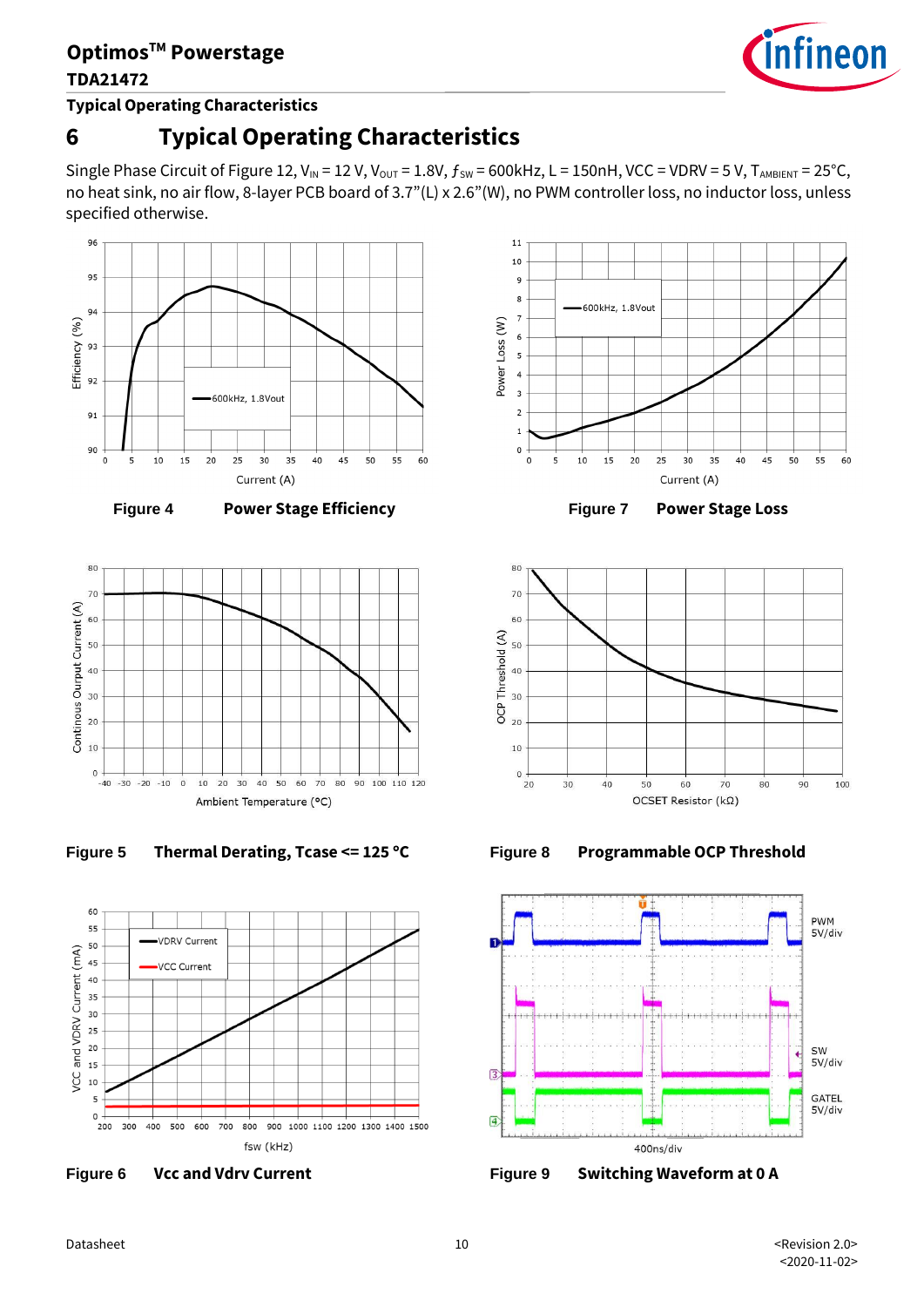**Typical Operating Characteristics**

# **6 Typical Operating Characteristics**

Single Phase Circuit of Figure 12,  $V_{IN}$  = 12 V,  $V_{OUT}$  = 1.8V,  $f_{SW}$  = 600kHz, L = 150nH, VCC = VDRV = 5 V,  $T_{AMBIENT}$  = 25°C, no heat sink, no air flow, 8-layer PCB board of 3.7"(L) x 2.6"(W), no PWM controller loss, no inductor loss, unless specified otherwise.





**Figure 4 Power Stage Efficiency**







**Figure 6 Vcc and Vdrv Current**



**Figure 7 Power Stage Loss**







**Figure 9 Switching Waveform at 0 A**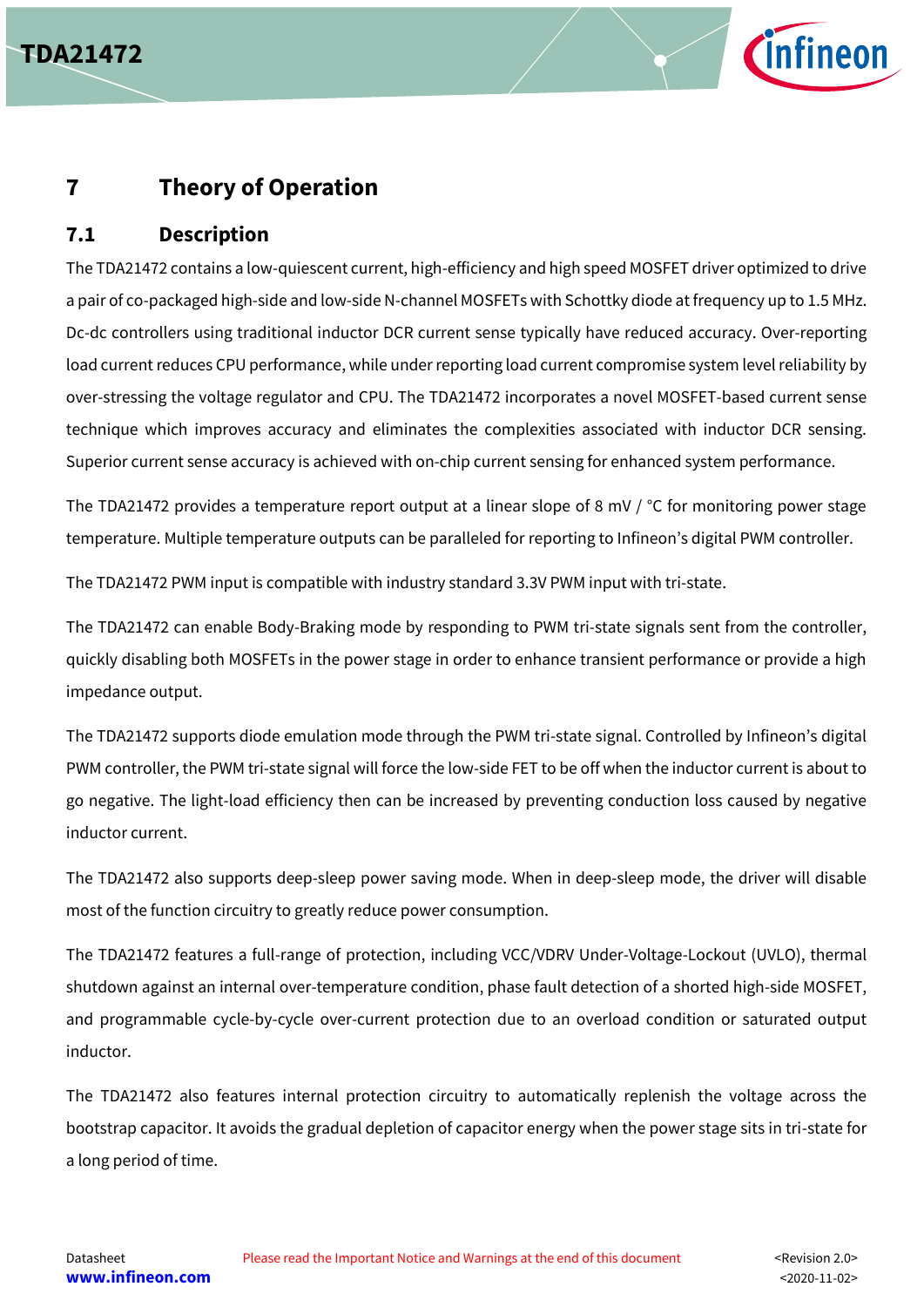



## **7 Theory of Operation**

#### **7.1 Description**

The TDA21472 contains a low-quiescent current, high-efficiency and high speed MOSFET driver optimized to drive a pair of co-packaged high-side and low-side N-channel MOSFETs with Schottky diode at frequency up to 1.5 MHz. Dc-dc controllers using traditional inductor DCR current sense typically have reduced accuracy. Over-reporting load current reduces CPU performance, while under reporting load current compromise system level reliability by over-stressing the voltage regulator and CPU. The TDA21472 incorporates a novel MOSFET-based current sense technique which improves accuracy and eliminates the complexities associated with inductor DCR sensing. Superior current sense accuracy is achieved with on-chip current sensing for enhanced system performance.

The TDA21472 provides a temperature report output at a linear slope of 8 mV / °C for monitoring power stage temperature. Multiple temperature outputs can be paralleled for reporting to Infineon's digital PWM controller.

The TDA21472 PWM input is compatible with industry standard 3.3V PWM input with tri-state.

The TDA21472 can enable Body-Braking mode by responding to PWM tri-state signals sent from the controller, quickly disabling both MOSFETs in the power stage in order to enhance transient performance or provide a high impedance output.

The TDA21472 supports diode emulation mode through the PWM tri-state signal. Controlled by Infineon's digital PWM controller, the PWM tri-state signal will force the low-side FET to be off when the inductor current is about to go negative. The light-load efficiency then can be increased by preventing conduction loss caused by negative inductor current.

The TDA21472 also supports deep-sleep power saving mode. When in deep-sleep mode, the driver will disable most of the function circuitry to greatly reduce power consumption.

The TDA21472 features a full-range of protection, including VCC/VDRV Under-Voltage-Lockout (UVLO), thermal shutdown against an internal over-temperature condition, phase fault detection of a shorted high-side MOSFET, and programmable cycle-by-cycle over-current protection due to an overload condition or saturated output inductor.

The TDA21472 also features internal protection circuitry to automatically replenish the voltage across the bootstrap capacitor. It avoids the gradual depletion of capacitor energy when the power stage sits in tri-state for a long period of time.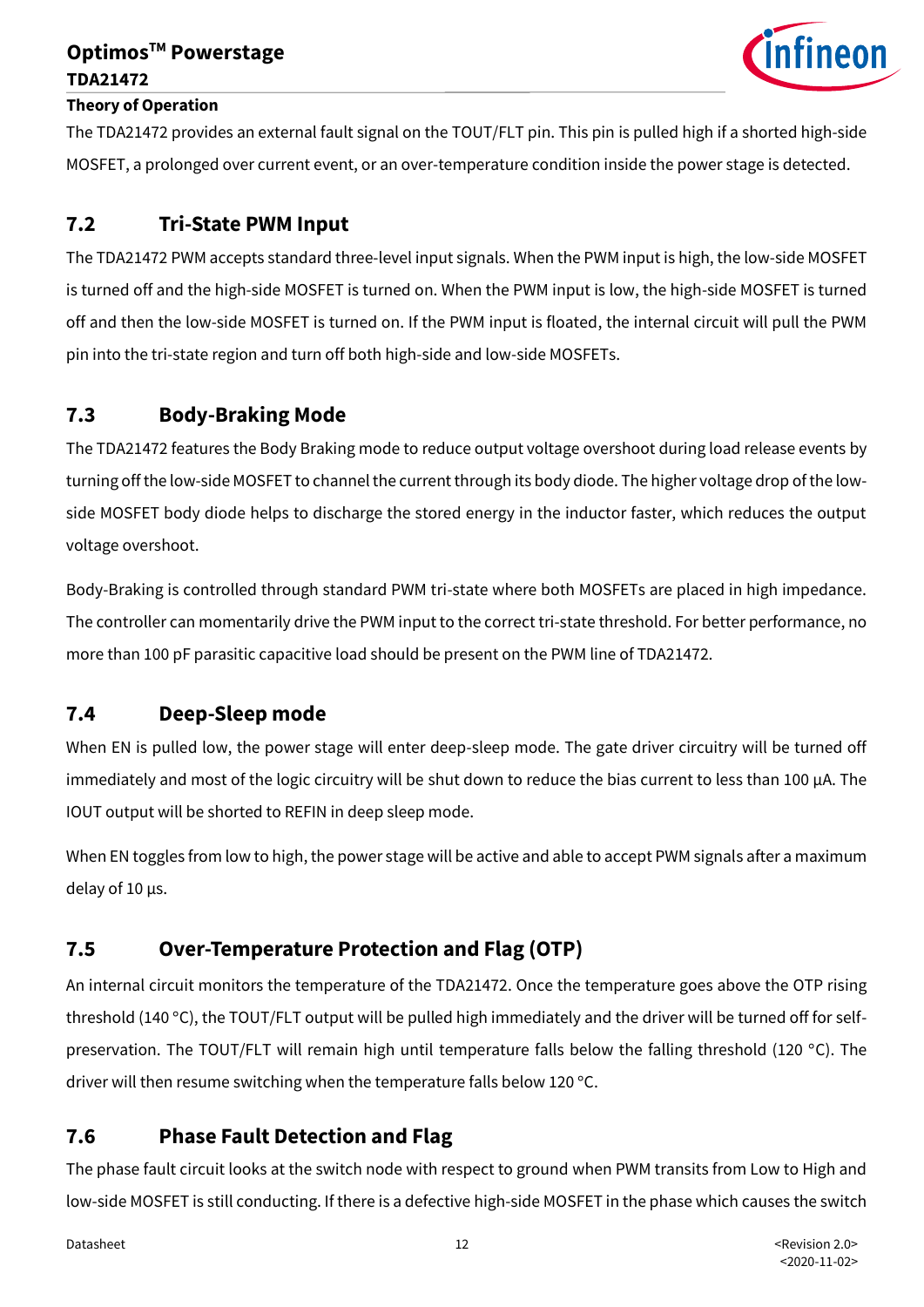

#### **Theory of Operation**

The TDA21472 provides an external fault signal on the TOUT/FLT pin. This pin is pulled high if a shorted high-side MOSFET, a prolonged over current event, or an over-temperature condition inside the power stage is detected.

#### **7.2 Tri-State PWM Input**

The TDA21472 PWM accepts standard three-level input signals. When the PWM input is high, the low-side MOSFET is turned off and the high-side MOSFET is turned on. When the PWM input is low, the high-side MOSFET is turned off and then the low-side MOSFET is turned on. If the PWM input is floated, the internal circuit will pull the PWM pin into the tri-state region and turn off both high-side and low-side MOSFETs.

#### **7.3 Body-Braking Mode**

The TDA21472 features the Body Braking mode to reduce output voltage overshoot during load release events by turning off the low-side MOSFET to channel the current through its body diode. The higher voltage drop ofthe lowside MOSFET body diode helps to discharge the stored energy in the inductor faster, which reduces the output voltage overshoot.

Body-Braking is controlled through standard PWM tri-state where both MOSFETs are placed in high impedance. The controller can momentarily drive the PWM input to the correct tri-state threshold. For better performance, no more than 100 pF parasitic capacitive load should be present on the PWM line of TDA21472.

#### **7.4 Deep-Sleep mode**

When EN is pulled low, the power stage will enter deep-sleep mode. The gate driver circuitry will be turned off immediately and most of the logic circuitry will be shut down to reduce the bias current to less than 100 µA. The IOUT output will be shorted to REFIN in deep sleep mode.

When EN toggles from low to high, the power stage will be active and able to accept PWM signals after a maximum delay of 10 µs.

### **7.5 Over-Temperature Protection and Flag (OTP)**

An internal circuit monitors the temperature of the TDA21472. Once the temperature goes above the OTP rising threshold (140 °C), the TOUT/FLT output will be pulled high immediately and the driver will be turned off for selfpreservation. The TOUT/FLT will remain high until temperature falls below the falling threshold (120 °C). The driver will then resume switching when the temperature falls below 120 °C.

## **7.6 Phase Fault Detection and Flag**

The phase fault circuit looks at the switch node with respect to ground when PWM transits from Low to High and low-side MOSFET is still conducting. If there is a defective high-side MOSFET in the phase which causes the switch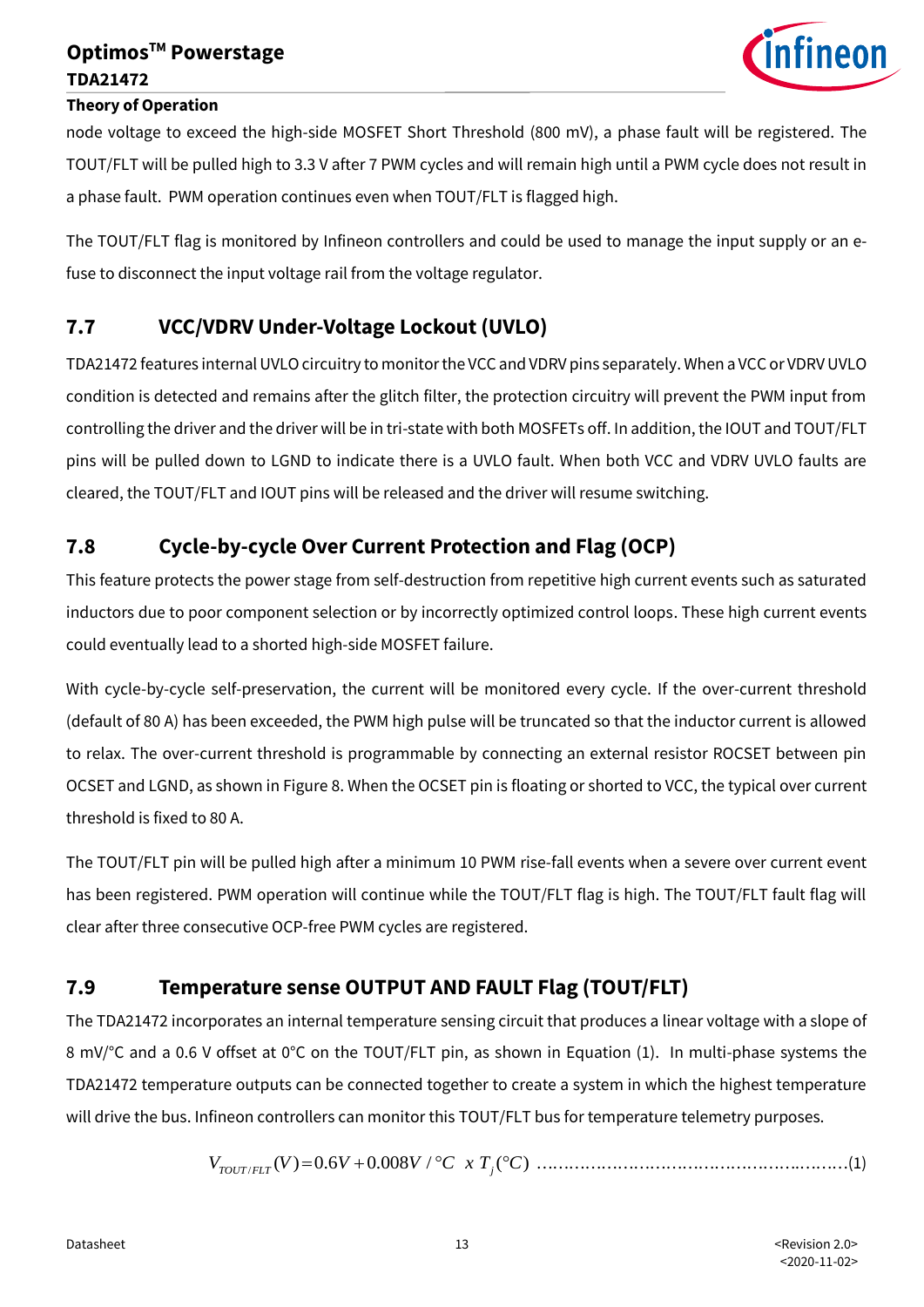

#### **Theory of Operation**

node voltage to exceed the high-side MOSFET Short Threshold (800 mV), a phase fault will be registered. The TOUT/FLT will be pulled high to 3.3 V after 7 PWM cycles and will remain high until a PWM cycle does not result in a phase fault. PWM operation continues even when TOUT/FLT is flagged high.

The TOUT/FLT flag is monitored by Infineon controllers and could be used to manage the input supply or an efuse to disconnect the input voltage rail from the voltage regulator.

## **7.7 VCC/VDRV Under-Voltage Lockout (UVLO)**

TDA21472 features internalUVLO circuitry to monitor the VCC and VDRV pins separately. When a VCC or VDRVUVLO condition is detected and remains after the glitch filter, the protection circuitry will prevent the PWM input from controlling the driver and the driver will be in tri-state with both MOSFETs off. In addition, the IOUT and TOUT/FLT pins will be pulled down to LGND to indicate there is a UVLO fault. When both VCC and VDRV UVLO faults are cleared, the TOUT/FLT and IOUT pins will be released and the driver will resume switching.

### **7.8 Cycle-by-cycle Over Current Protection and Flag (OCP)**

This feature protects the power stage from self-destruction from repetitive high current events such as saturated inductors due to poor component selection or by incorrectly optimized control loops. These high current events could eventually lead to a shorted high-side MOSFET failure.

With cycle-by-cycle self-preservation, the current will be monitored every cycle. If the over-current threshold (default of 80 A) has been exceeded, the PWM high pulse will be truncated so that the inductor current is allowed to relax. The over-current threshold is programmable by connecting an external resistor ROCSET between pin OCSET and LGND, as shown in Figure 8. When the OCSET pin is floating or shorted to VCC, the typical over current threshold is fixed to 80 A.

The TOUT/FLT pin will be pulled high after a minimum 10 PWM rise-fall events when a severe over current event has been registered. PWM operation will continue while the TOUT/FLT flag is high. The TOUT/FLT fault flag will clear after three consecutive OCP-free PWM cycles are registered.

### **7.9 Temperature sense OUTPUT AND FAULT Flag (TOUT/FLT)**

The TDA21472 incorporates an internal temperature sensing circuit that produces a linear voltage with a slope of 8 mV/°C and a 0.6 V offset at 0°C on the TOUT/FLT pin, as shown in Equation (1). In multi-phase systems the TDA21472 temperature outputs can be connected together to create a system in which the highest temperature will drive the bus. Infineon controllers can monitor this TOUT/FLT bus for temperature telemetry purposes.

/ ( ) 0.6 0.008 / ( ) *<sup>V</sup> <sup>V</sup> <sup>V</sup> <sup>V</sup> <sup>C</sup> <sup>x</sup> <sup>T</sup> <sup>C</sup> TOUT FLT <sup>j</sup>* <sup>=</sup> <sup>+</sup> ………………………………………….………(1)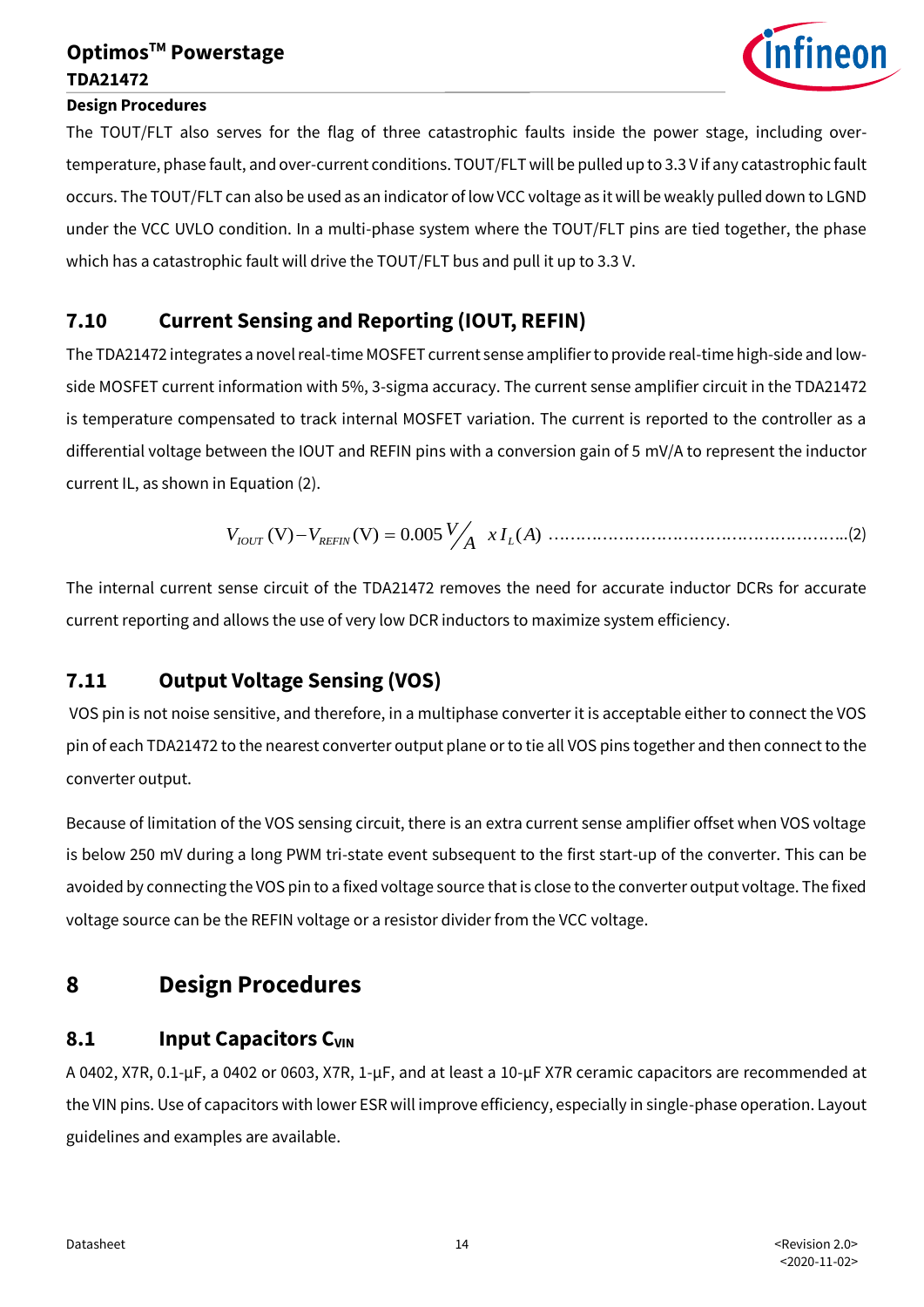

#### **Design Procedures**

The TOUT/FLT also serves for the flag of three catastrophic faults inside the power stage, including overtemperature, phase fault, and over-current conditions. TOUT/FLT will be pulled up to 3.3 V if any catastrophic fault occurs. The TOUT/FLT can also be used as an indicator of low VCC voltage as it will be weakly pulled down to LGND under the VCC UVLO condition. In a multi-phase system where the TOUT/FLT pins are tied together, the phase which has a catastrophic fault will drive the TOUT/FLT bus and pull it up to 3.3 V.

#### **7.10 Current Sensing and Reporting (IOUT, REFIN)**

The TDA21472 integrates a novel real-time MOSFET current sense amplifier to provide real-time high-side and lowside MOSFET current information with 5%, 3-sigma accuracy. The current sense amplifier circuit in the TDA21472 is temperature compensated to track internal MOSFET variation. The current is reported to the controller as a differential voltage between the IOUT and REFIN pins with a conversion gain of 5 mV/A to represent the inductor current IL, as shown in Equation (2).

$$
V_{IOUT} (V) - V_{REFIN} (V) = 0.005 \frac{V}{A} x I_L(A) \dots (2)
$$

The internal current sense circuit of the TDA21472 removes the need for accurate inductor DCRs for accurate current reporting and allows the use of very low DCR inductors to maximize system efficiency.

### **7.11 Output Voltage Sensing (VOS)**

VOS pin is not noise sensitive, and therefore, in a multiphase converter it is acceptable either to connect the VOS pin of each TDA21472 to the nearest converter output plane or to tie all VOS pins together and then connect to the converter output.

Because of limitation of the VOS sensing circuit, there is an extra current sense amplifier offset when VOS voltage is below 250 mV during a long PWM tri-state event subsequent to the first start-up of the converter. This can be avoided by connecting the VOS pin to a fixed voltage source that is close to the converter output voltage. The fixed voltage source can be the REFIN voltage or a resistor divider from the VCC voltage.

## **8 Design Procedures**

#### **8.1 Input Capacitors CVIN**

A 0402, X7R, 0.1-µF, a 0402 or 0603, X7R, 1-µF, and at least a 10-µF X7R ceramic capacitors are recommended at the VIN pins. Use of capacitors with lower ESR will improve efficiency, especially in single-phase operation. Layout guidelines and examples are available.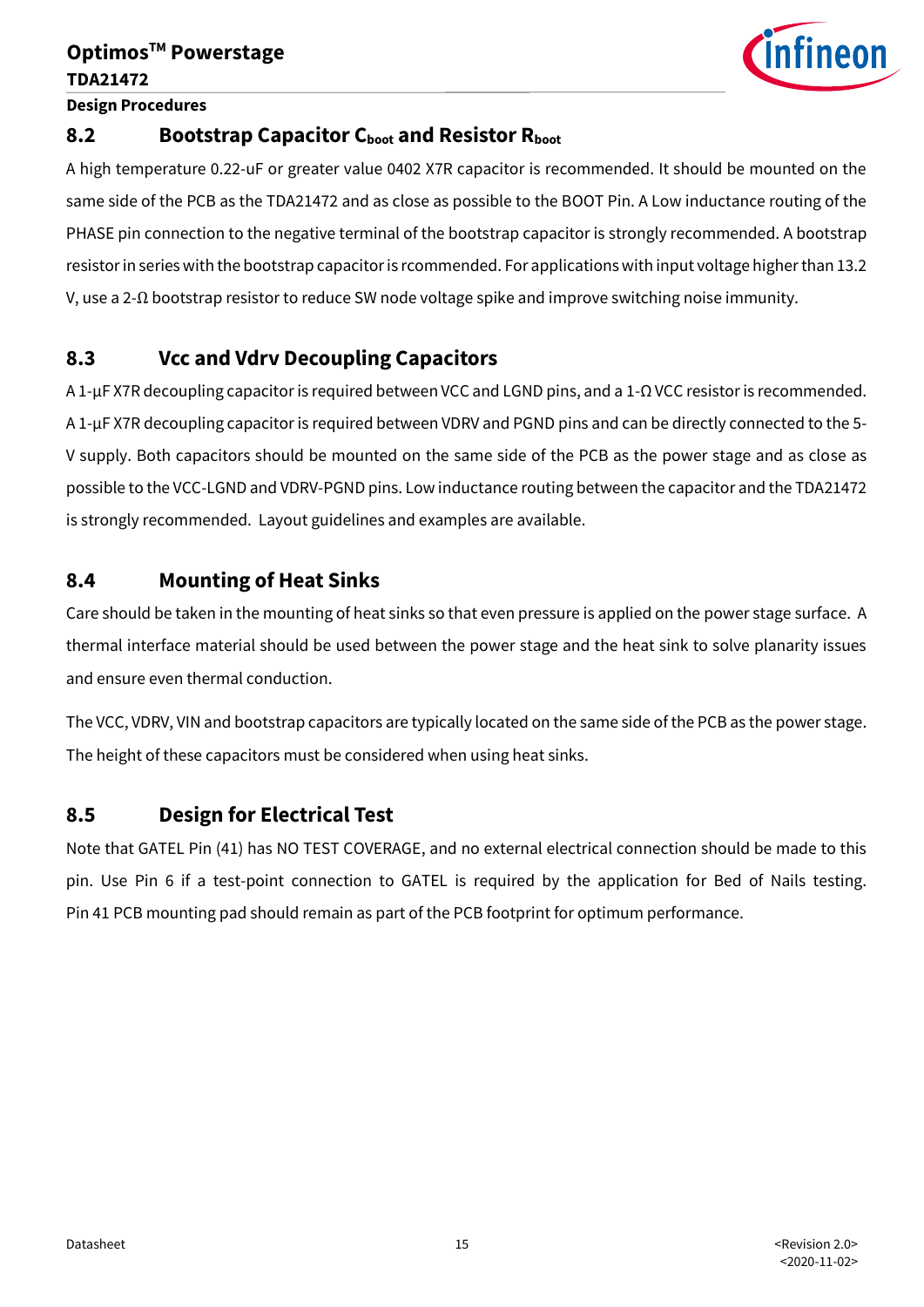

**Design Procedures**

#### **8.2 Bootstrap Capacitor Cboot and Resistor Rboot**

A high temperature 0.22-uF or greater value 0402 X7R capacitor is recommended. It should be mounted on the same side of the PCB as the TDA21472 and as close as possible to the BOOT Pin. A Low inductance routing of the PHASE pin connection to the negative terminal of the bootstrap capacitor is strongly recommended. A bootstrap resistor in series with the bootstrap capacitor is rcommended. For applications with input voltage higherthan 13.2 V, use a 2-Ω bootstrap resistor to reduce SW node voltage spike and improve switching noise immunity.

#### **8.3 Vcc and Vdrv Decoupling Capacitors**

A 1-µF X7R decoupling capacitor is required between VCC and LGND pins, and a 1-Ω VCC resistor is recommended. A 1-µF X7R decoupling capacitor is required between VDRV and PGND pins and can be directly connected to the 5- V supply. Both capacitors should be mounted on the same side of the PCB as the power stage and as close as possible to the VCC-LGND and VDRV-PGND pins. Low inductance routing between the capacitor and the TDA21472 is strongly recommended. Layout guidelines and examples are available.

#### **8.4 Mounting of Heat Sinks**

Care should be taken in the mounting of heat sinks so that even pressure is applied on the power stage surface. A thermal interface material should be used between the power stage and the heat sink to solve planarity issues and ensure even thermal conduction.

The VCC, VDRV, VIN and bootstrap capacitors are typically located on the same side of the PCB as the power stage. The height of these capacitors must be considered when using heat sinks.

### **8.5 Design for Electrical Test**

Note that GATEL Pin (41) has NO TEST COVERAGE, and no external electrical connection should be made to this pin. Use Pin 6 if a test-point connection to GATEL is required by the application for Bed of Nails testing. Pin 41 PCB mounting pad should remain as part of the PCB footprint for optimum performance.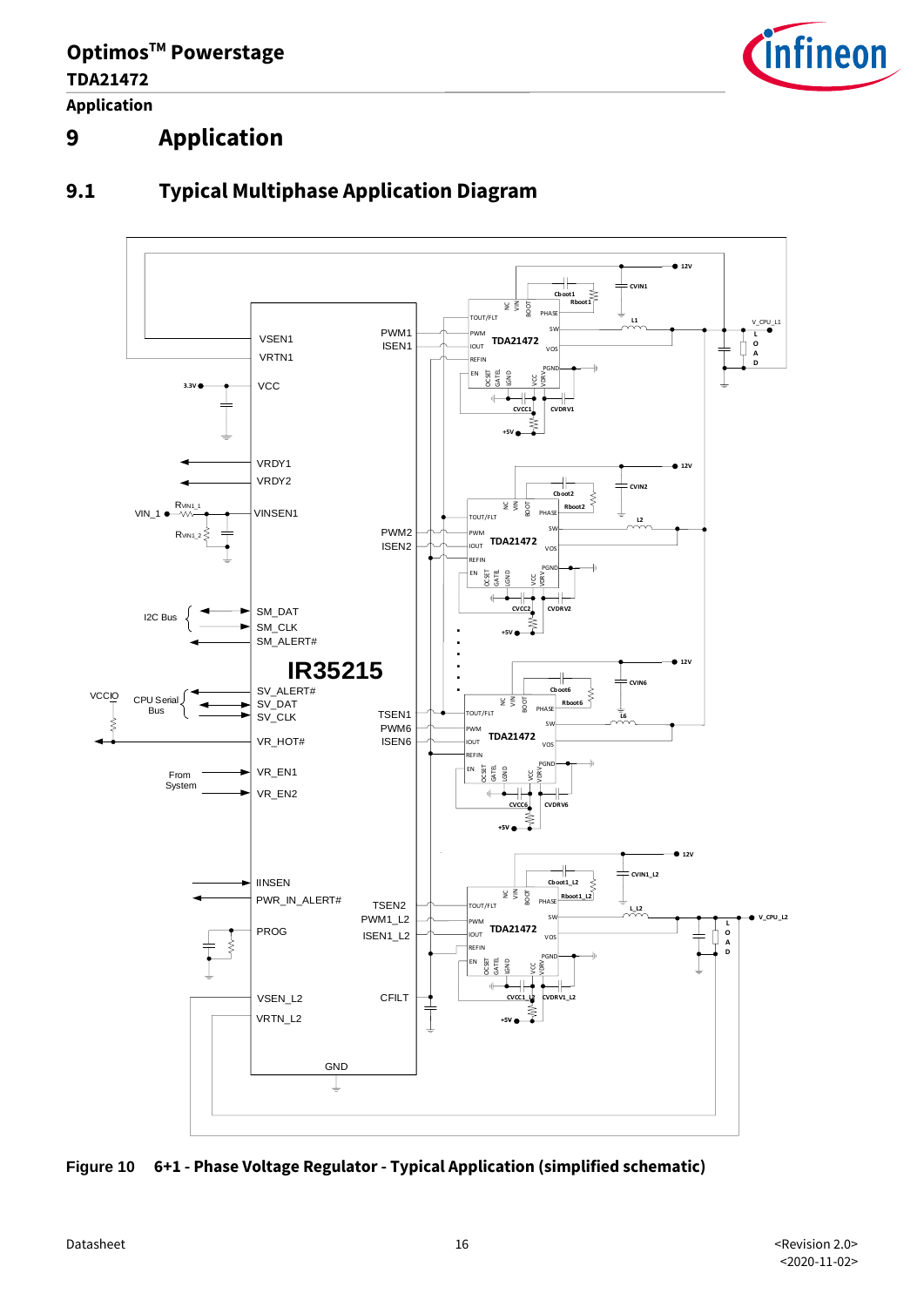**OptimosTM Powerstage TDA21472 Application**



## **9 Application**



## **9.1 Typical Multiphase Application Diagram**

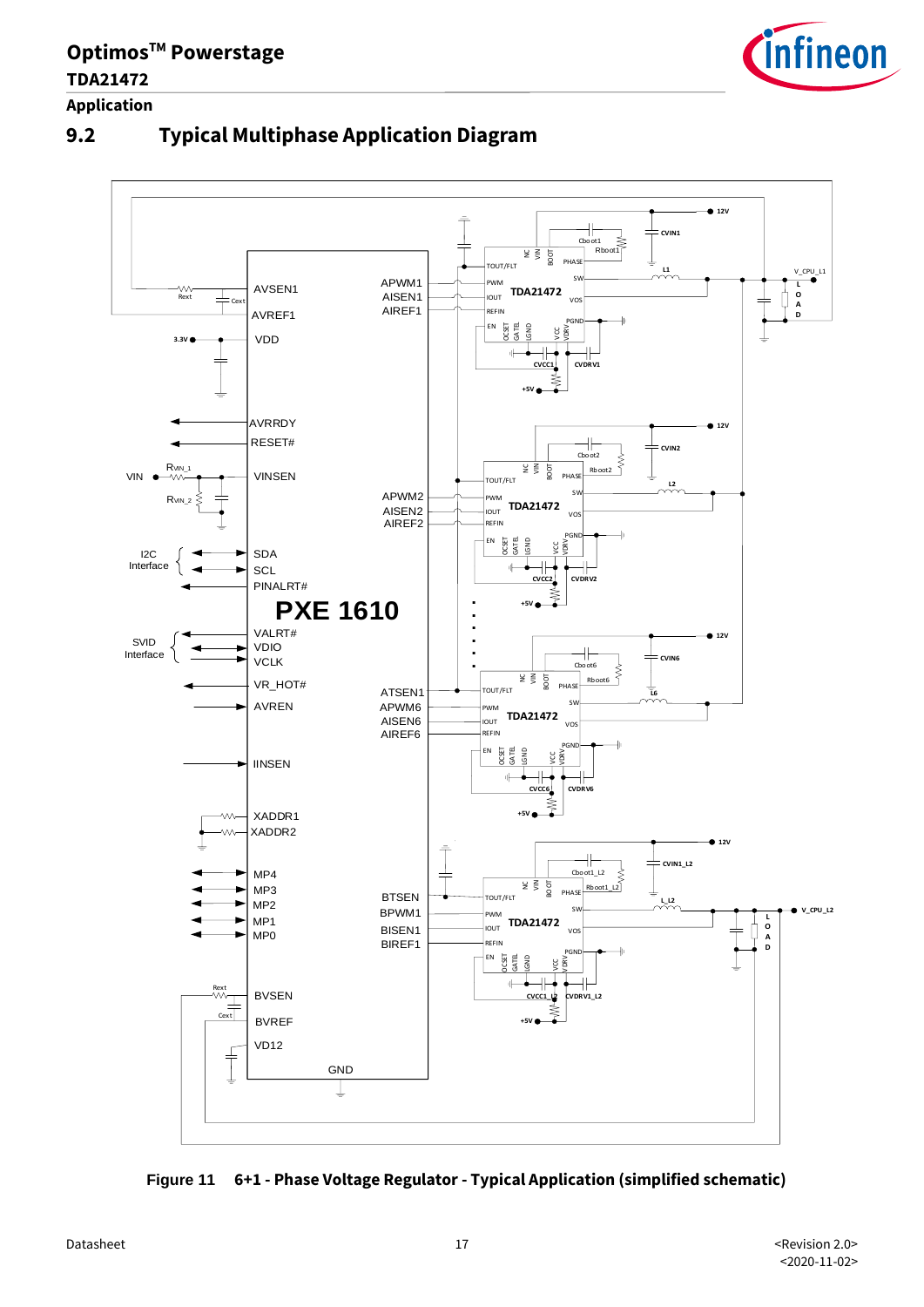

**Application**





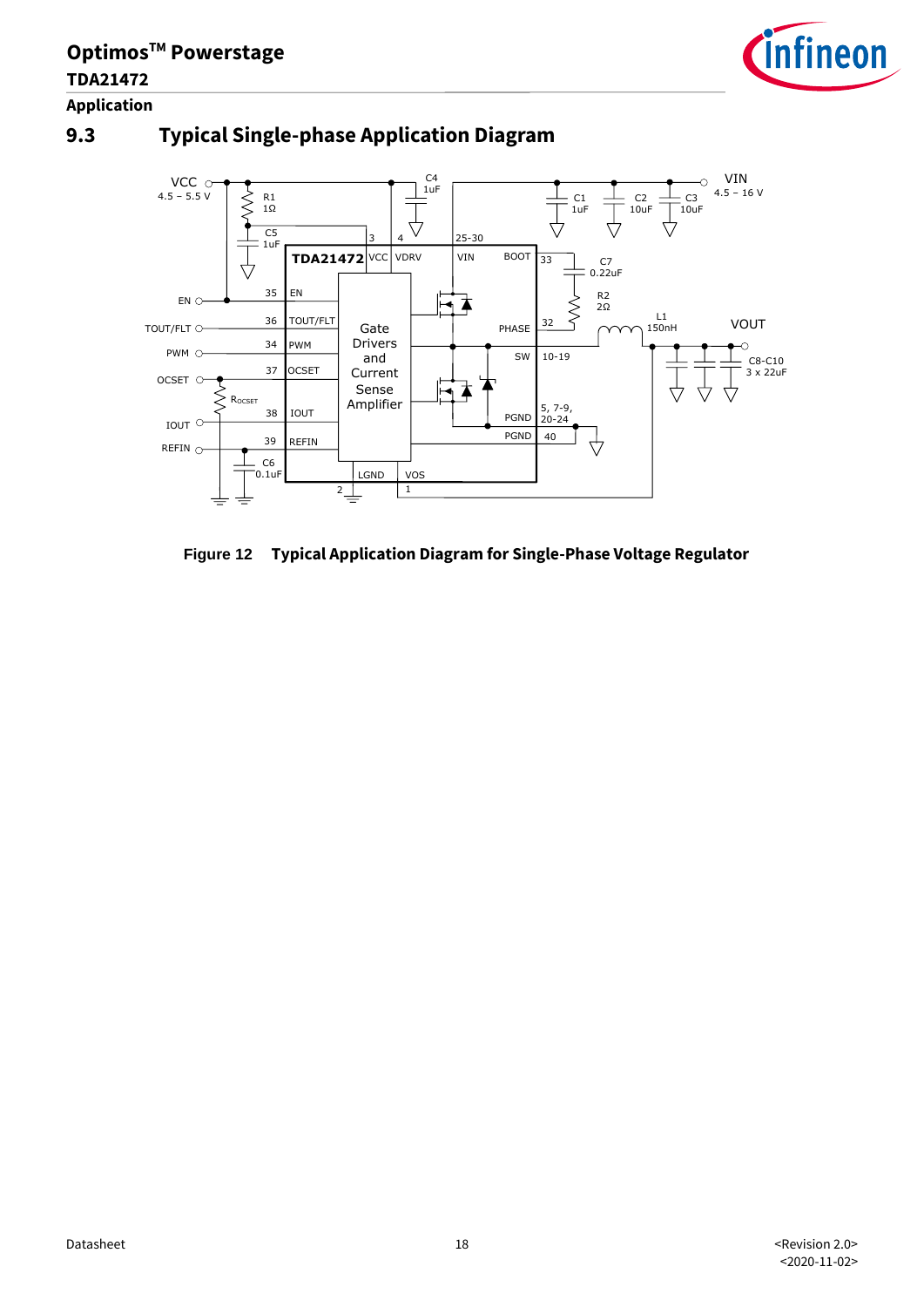

### **9.3 Typical Single-phase Application Diagram**



**Figure 12 Typical Application Diagram for Single-Phase Voltage Regulator**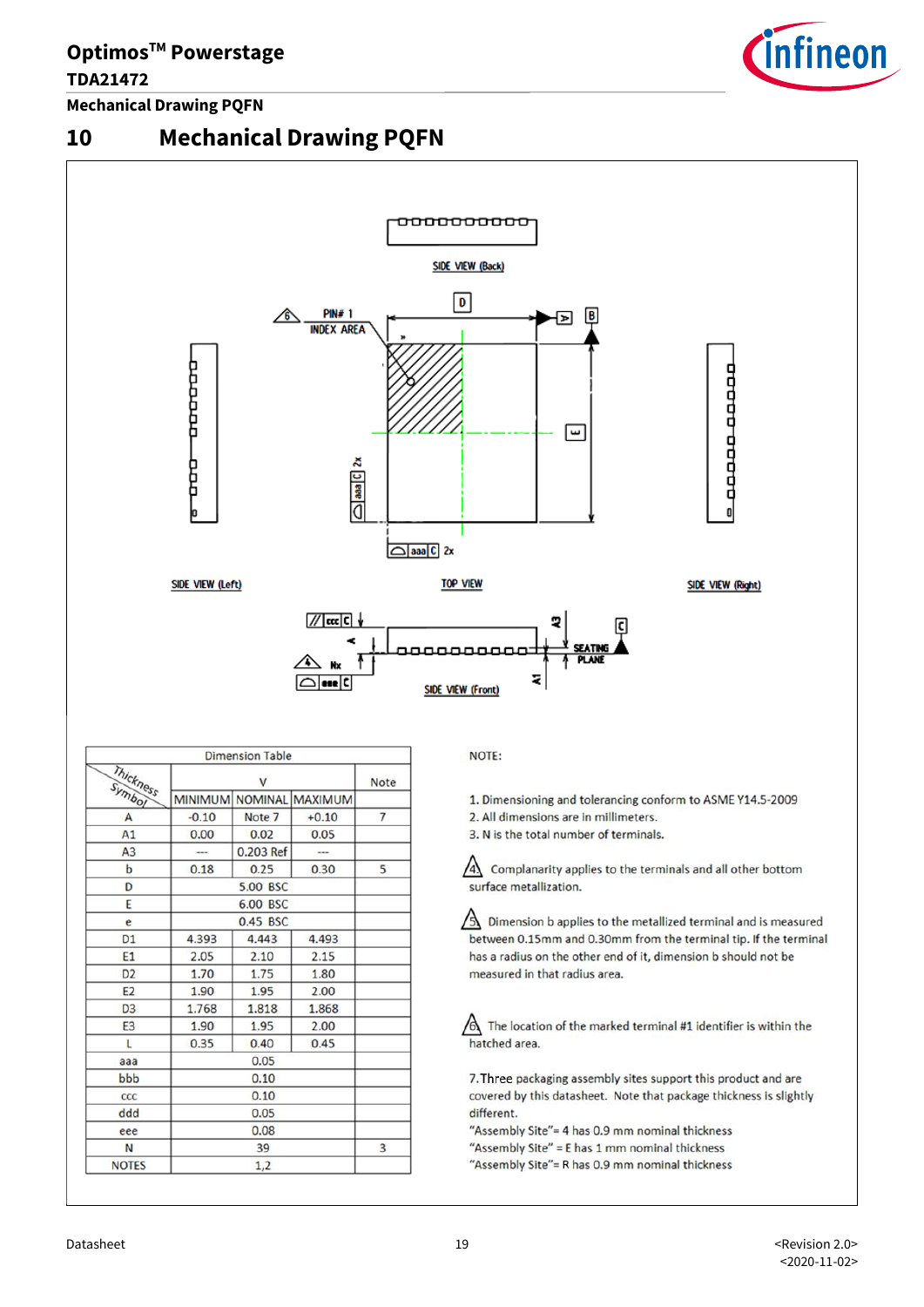#### **TDA21472**

**Mechanical Drawing PQFN**



## **10 Mechanical Drawing PQFN**



|                     |          | <b>Dimension Table</b> |                         |                |
|---------------------|----------|------------------------|-------------------------|----------------|
| Thickness<br>Symbol | v        |                        |                         | <b>Note</b>    |
|                     |          |                        | MINIMUM NOMINAL MAXIMUM |                |
| A                   | $-0.10$  | Note 7                 | $+0.10$                 | $\overline{7}$ |
| A1                  | 0.00     | 0.02                   | 0.05                    |                |
| A <sub>3</sub>      |          | 0.203 Ref              |                         |                |
| $\mathbf b$         | 0.18     | 0.25                   | 0.30                    | 5              |
| D                   | 5.00 BSC |                        |                         |                |
| E                   | 6.00 BSC |                        |                         |                |
| e                   | 0.45 BSC |                        |                         |                |
| <b>D1</b>           | 4.393    | 4.443                  | 4.493                   |                |
| E1                  | 2.05     | 2.10                   | 2.15                    |                |
| D <sub>2</sub>      | 1.70     | 1.75                   | 1.80                    |                |
| E <sub>2</sub>      | 1.90     | 1.95                   | 2.00                    |                |
| D <sub>3</sub>      | 1.768    | 1.818                  | 1.868                   |                |
| E <sub>3</sub>      | 1.90     | 1.95                   | 2.00                    |                |
| L                   | 0.35     | 0.40                   | 0.45                    |                |
| aaa                 | 0.05     |                        |                         |                |
| bbb                 | 0.10     |                        |                         |                |
| ccc                 | 0.10     |                        |                         |                |
| ddd                 | 0.05     |                        |                         |                |
| eee                 | 0.08     |                        |                         |                |
| N                   | 39       |                        |                         | 3              |
| <b>NOTES</b>        | 1,2      |                        |                         |                |

NOTE:

1. Dimensioning and tolerancing conform to ASME Y14.5-2009

- 2. All dimensions are in millimeters.
- 3. N is the total number of terminals.

 $\sqrt{4}$  Complanarity applies to the terminals and all other bottom surface metallization.

 $\Delta$  Dimension b applies to the metallized terminal and is measured between 0.15mm and 0.30mm from the terminal tip. If the terminal has a radius on the other end of it, dimension b should not be measured in that radius area.

 $\bigwedge$  The location of the marked terminal #1 identifier is within the hatched area.

7. Three packaging assembly sites support this product and are covered by this datasheet. Note that package thickness is slightly different.

"Assembly Site"= 4 has 0.9 mm nominal thickness

- "Assembly Site" = E has 1 mm nominal thickness
- "Assembly Site"= R has 0.9 mm nominal thickness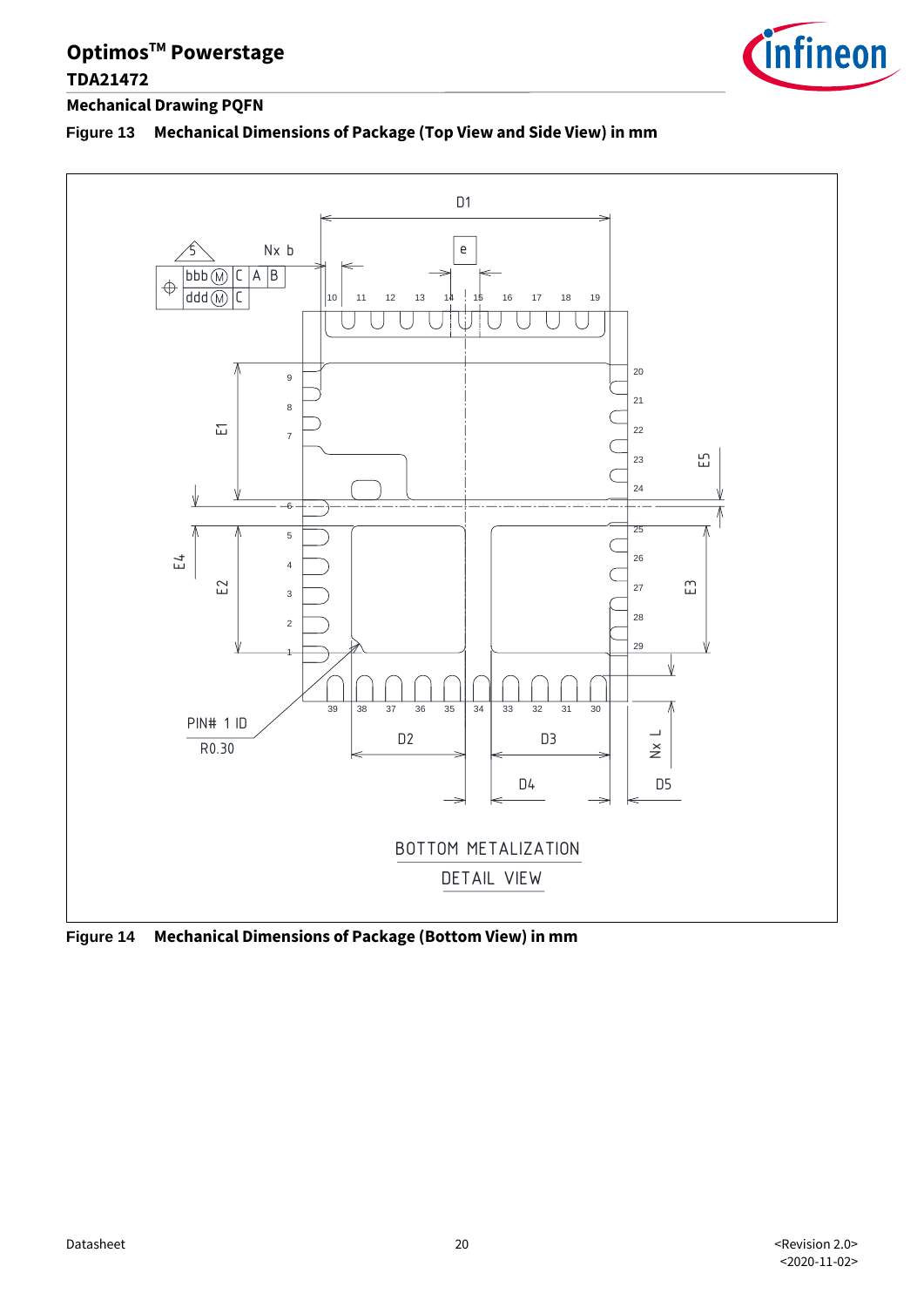

#### **Mechanical Drawing PQFN**

#### **Figure 13 Mechanical Dimensions of Package (Top View and Side View) in mm**



**Figure 14 Mechanical Dimensions of Package (Bottom View) in mm**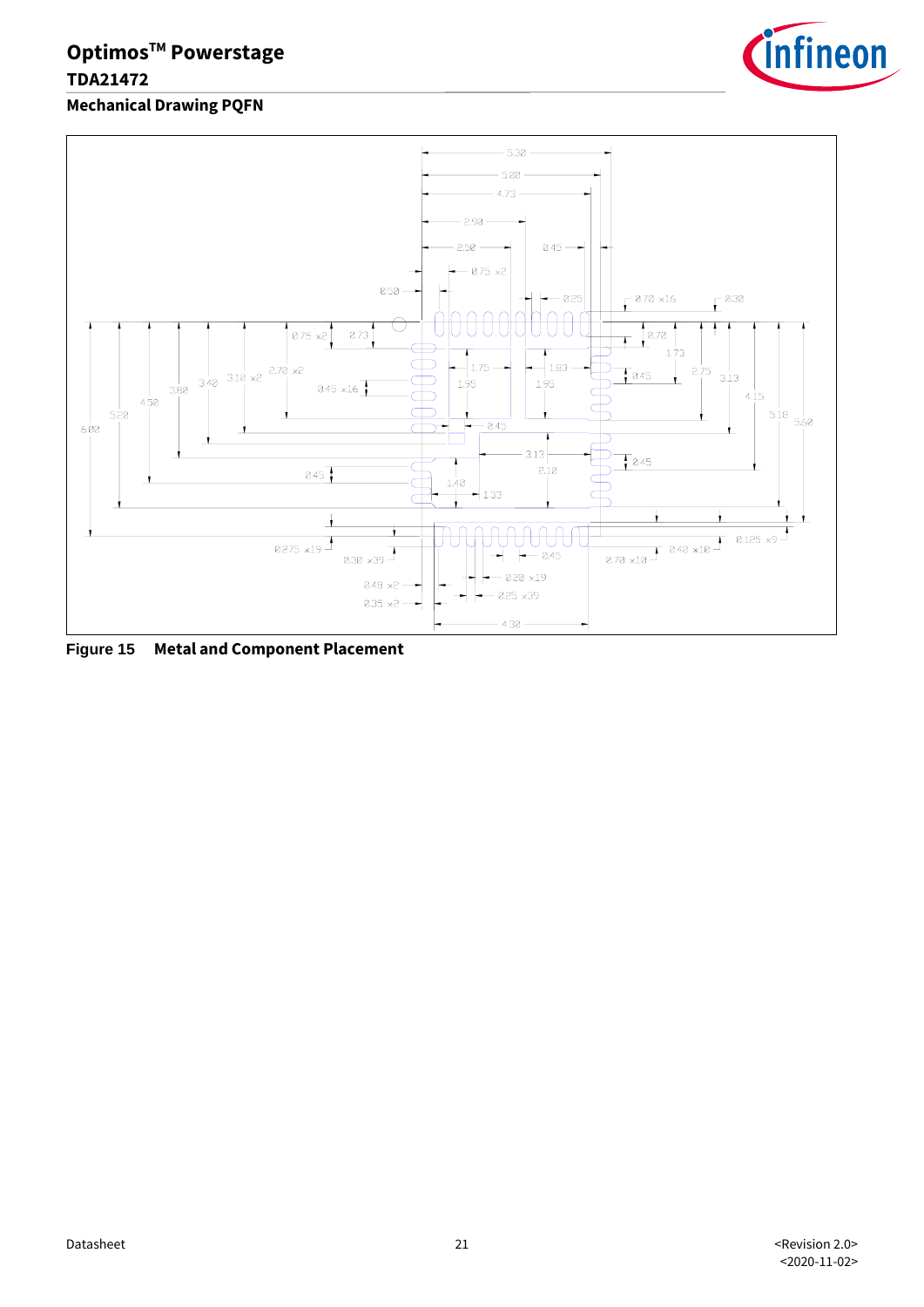

**Mechanical Drawing PQFN**



**Figure 15 Metal and Component Placement**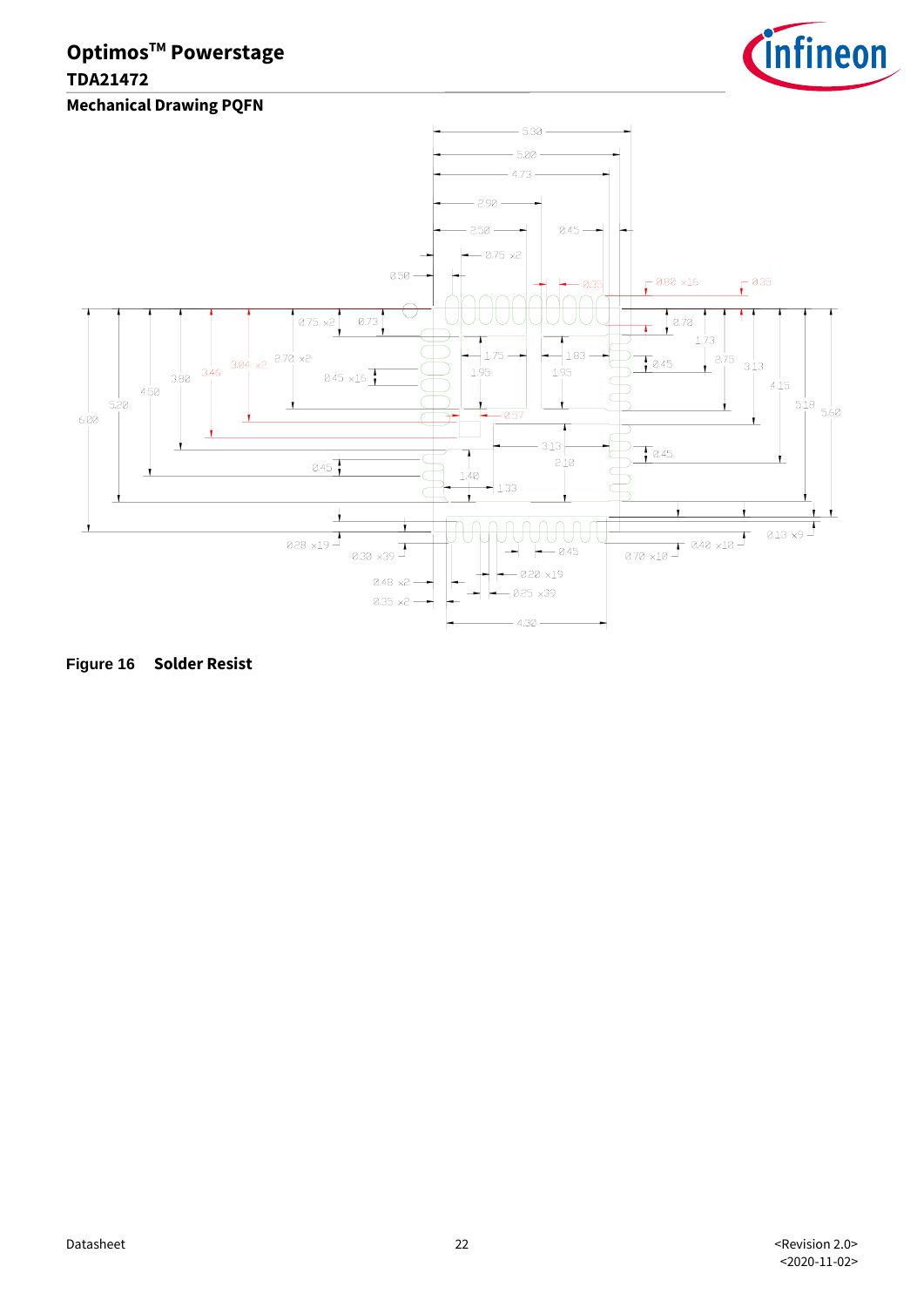





**Figure 16 Solder Resist**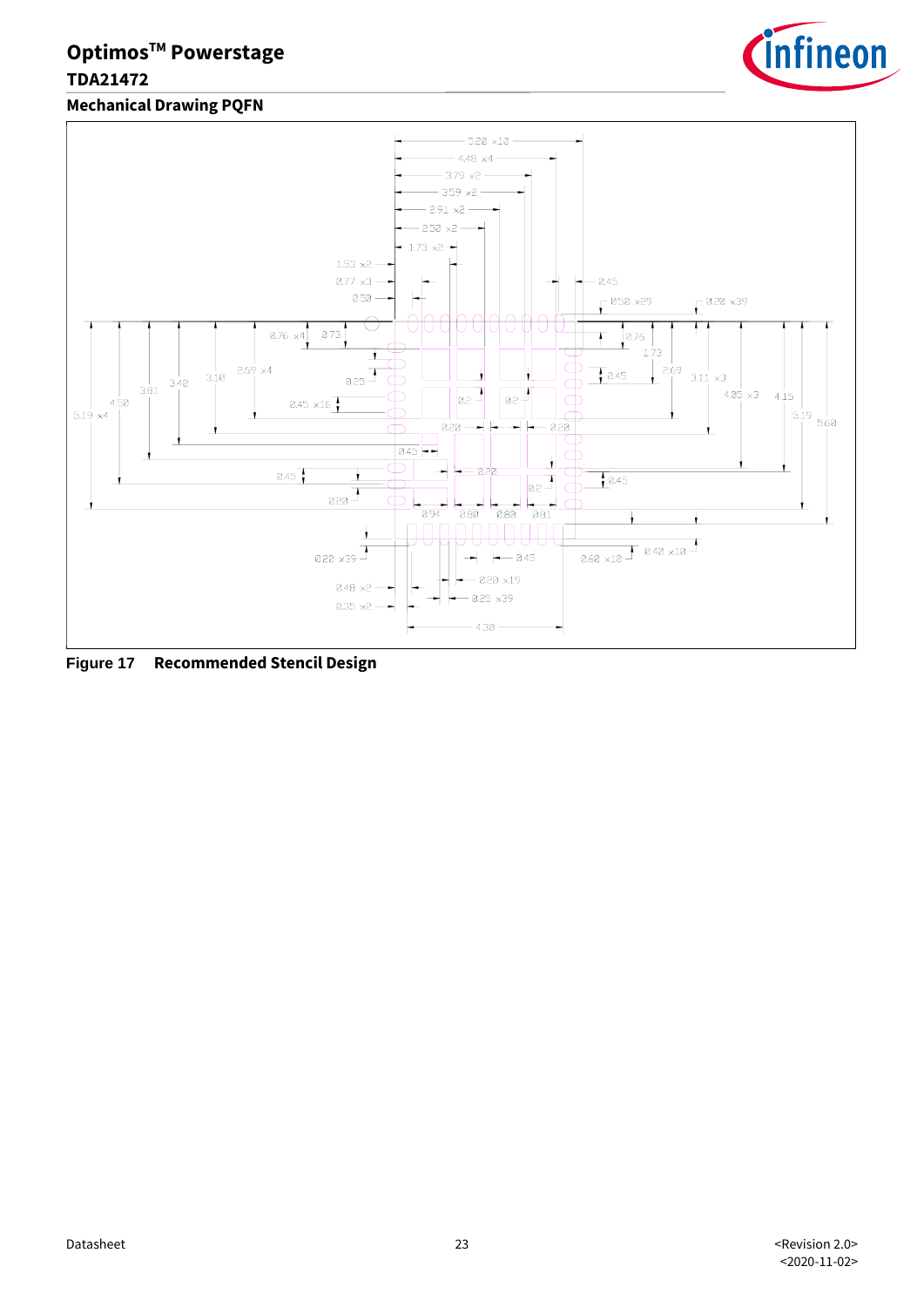

**Mechanical Drawing PQFN**



**Figure 17 Recommended Stencil Design**